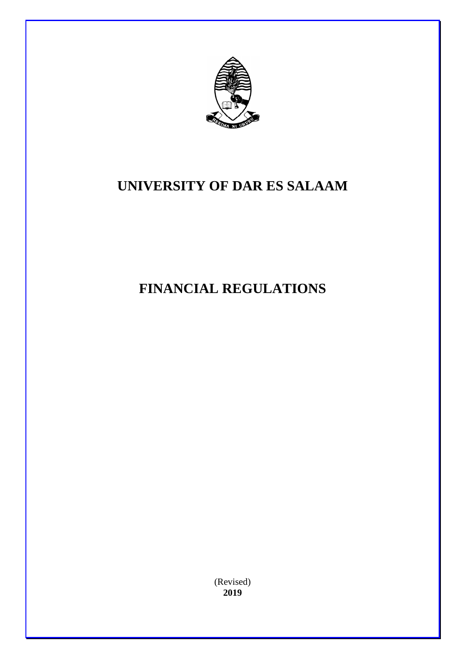

# **UNIVERSITY OF DAR ES SALAAM**

# **FINANCIAL REGULATIONS**

(Revised) **2019**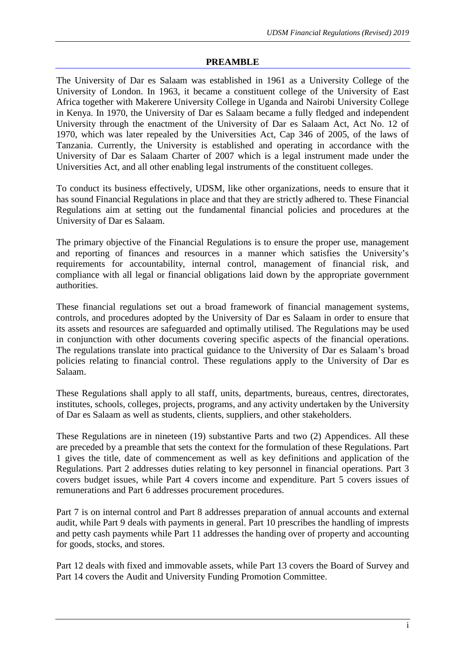## **PREAMBLE**

The University of Dar es Salaam was established in 1961 as a University College of the University of London. In 1963, it became a constituent college of the University of East Africa together with Makerere University College in Uganda and Nairobi University College in Kenya. In 1970, the University of Dar es Salaam became a fully fledged and independent University through the enactment of the University of Dar es Salaam Act, Act No. 12 of 1970, which was later repealed by the Universities Act, Cap 346 of 2005, of the laws of Tanzania. Currently, the University is established and operating in accordance with the University of Dar es Salaam Charter of 2007 which is a legal instrument made under the Universities Act, and all other enabling legal instruments of the constituent colleges.

To conduct its business effectively, UDSM, like other organizations, needs to ensure that it has sound Financial Regulations in place and that they are strictly adhered to. These Financial Regulations aim at setting out the fundamental financial policies and procedures at the University of Dar es Salaam.

The primary objective of the Financial Regulations is to ensure the proper use, management and reporting of finances and resources in a manner which satisfies the University's requirements for accountability, internal control, management of financial risk, and compliance with all legal or financial obligations laid down by the appropriate government authorities.

These financial regulations set out a broad framework of financial management systems, controls, and procedures adopted by the University of Dar es Salaam in order to ensure that its assets and resources are safeguarded and optimally utilised. The Regulations may be used in conjunction with other documents covering specific aspects of the financial operations. The regulations translate into practical guidance to the University of Dar es Salaam's broad policies relating to financial control. These regulations apply to the University of Dar es Salaam.

These Regulations shall apply to all staff, units, departments, bureaus, centres, directorates, institutes, schools, colleges, projects, programs, and any activity undertaken by the University of Dar es Salaam as well as students, clients, suppliers, and other stakeholders.

These Regulations are in nineteen (19) substantive Parts and two (2) Appendices. All these are preceded by a preamble that sets the context for the formulation of these Regulations. Part 1 gives the title, date of commencement as well as key definitions and application of the Regulations. Part 2 addresses duties relating to key personnel in financial operations. Part 3 covers budget issues, while Part 4 covers income and expenditure. Part 5 covers issues of remunerations and Part 6 addresses procurement procedures.

Part 7 is on internal control and Part 8 addresses preparation of annual accounts and external audit, while Part 9 deals with payments in general. Part 10 prescribes the handling of imprests and petty cash payments while Part 11 addresses the handing over of property and accounting for goods, stocks, and stores.

Part 12 deals with fixed and immovable assets, while Part 13 covers the Board of Survey and Part 14 covers the Audit and University Funding Promotion Committee.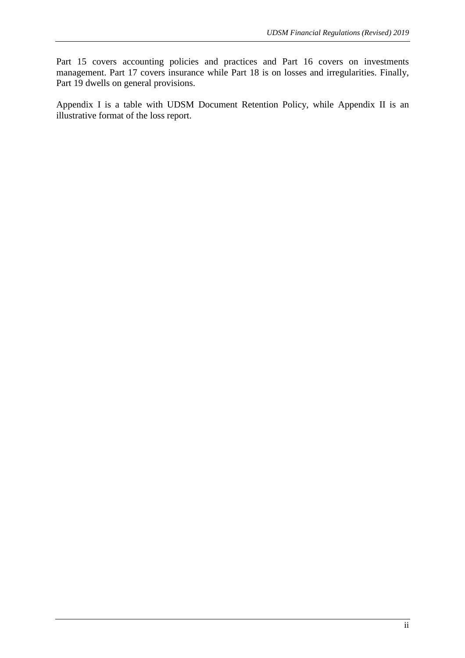Part 15 covers accounting policies and practices and Part 16 covers on investments management. Part 17 covers insurance while Part 18 is on losses and irregularities. Finally, Part 19 dwells on general provisions.

Appendix I is a table with UDSM Document Retention Policy, while Appendix II is an illustrative format of the loss report.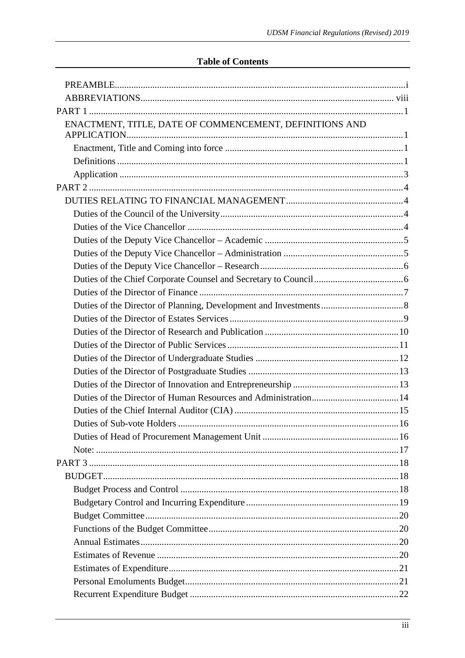# **Table of Contents**

| ENACTMENT, TITLE, DATE OF COMMENCEMENT, DEFINITIONS AND |  |
|---------------------------------------------------------|--|
|                                                         |  |
|                                                         |  |
|                                                         |  |
|                                                         |  |
|                                                         |  |
|                                                         |  |
|                                                         |  |
|                                                         |  |
|                                                         |  |
|                                                         |  |
|                                                         |  |
|                                                         |  |
|                                                         |  |
|                                                         |  |
|                                                         |  |
|                                                         |  |
|                                                         |  |
|                                                         |  |
|                                                         |  |
|                                                         |  |
|                                                         |  |
|                                                         |  |
|                                                         |  |
|                                                         |  |
|                                                         |  |
|                                                         |  |
|                                                         |  |
|                                                         |  |
|                                                         |  |
|                                                         |  |
|                                                         |  |
|                                                         |  |
|                                                         |  |
|                                                         |  |
|                                                         |  |
|                                                         |  |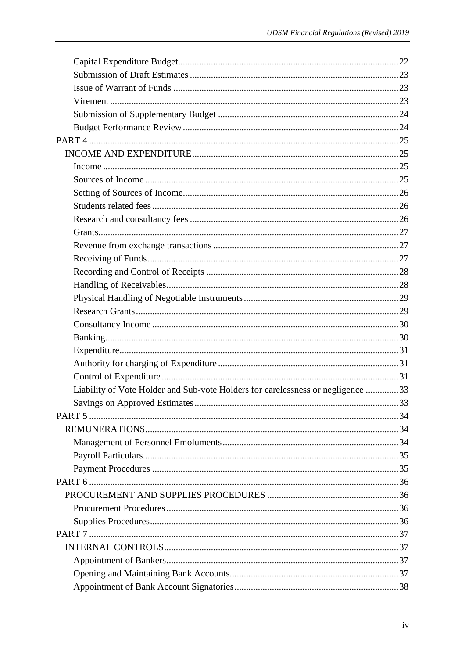| Liability of Vote Holder and Sub-vote Holders for carelessness or negligence 33 |  |
|---------------------------------------------------------------------------------|--|
|                                                                                 |  |
|                                                                                 |  |
|                                                                                 |  |
|                                                                                 |  |
|                                                                                 |  |
|                                                                                 |  |
|                                                                                 |  |
|                                                                                 |  |
|                                                                                 |  |
|                                                                                 |  |
|                                                                                 |  |
|                                                                                 |  |
|                                                                                 |  |
|                                                                                 |  |
|                                                                                 |  |
|                                                                                 |  |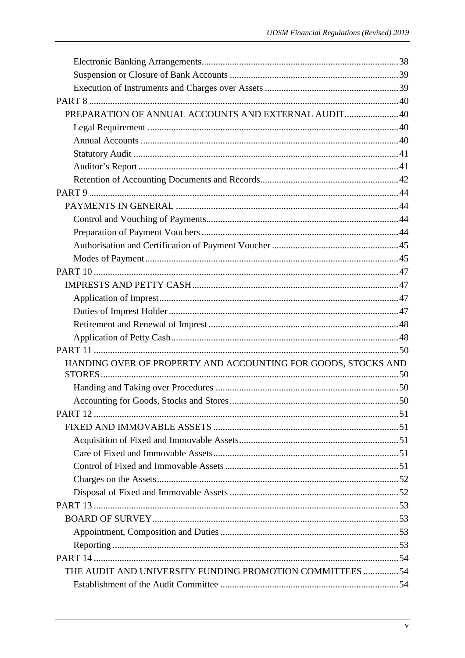| PREPARATION OF ANNUAL ACCOUNTS AND EXTERNAL AUDIT40           |  |
|---------------------------------------------------------------|--|
|                                                               |  |
|                                                               |  |
|                                                               |  |
|                                                               |  |
|                                                               |  |
|                                                               |  |
|                                                               |  |
|                                                               |  |
|                                                               |  |
|                                                               |  |
|                                                               |  |
|                                                               |  |
|                                                               |  |
|                                                               |  |
|                                                               |  |
|                                                               |  |
|                                                               |  |
|                                                               |  |
| HANDING OVER OF PROPERTY AND ACCOUNTING FOR GOODS, STOCKS AND |  |
|                                                               |  |
|                                                               |  |
|                                                               |  |
|                                                               |  |
|                                                               |  |
|                                                               |  |
|                                                               |  |
|                                                               |  |
|                                                               |  |
|                                                               |  |
|                                                               |  |
|                                                               |  |
|                                                               |  |
|                                                               |  |
|                                                               |  |
| THE AUDIT AND UNIVERSITY FUNDING PROMOTION COMMITTEES 54      |  |
|                                                               |  |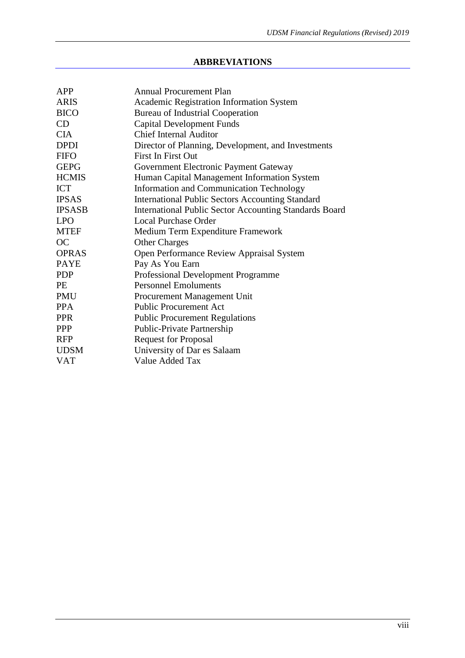# **ABBREVIATIONS**

| <b>APP</b>    | <b>Annual Procurement Plan</b>                          |  |  |
|---------------|---------------------------------------------------------|--|--|
| <b>ARIS</b>   | Academic Registration Information System                |  |  |
| <b>BICO</b>   | <b>Bureau of Industrial Cooperation</b>                 |  |  |
| CD            | <b>Capital Development Funds</b>                        |  |  |
| <b>CIA</b>    | <b>Chief Internal Auditor</b>                           |  |  |
| <b>DPDI</b>   | Director of Planning, Development, and Investments      |  |  |
| <b>FIFO</b>   | <b>First In First Out</b>                               |  |  |
| <b>GEPG</b>   | Government Electronic Payment Gateway                   |  |  |
| <b>HCMIS</b>  | Human Capital Management Information System             |  |  |
| <b>ICT</b>    | Information and Communication Technology                |  |  |
| <b>IPSAS</b>  | <b>International Public Sectors Accounting Standard</b> |  |  |
| <b>IPSASB</b> | International Public Sector Accounting Standards Board  |  |  |
| <b>LPO</b>    | <b>Local Purchase Order</b>                             |  |  |
| <b>MTEF</b>   | Medium Term Expenditure Framework                       |  |  |
| <b>OC</b>     | <b>Other Charges</b>                                    |  |  |
| <b>OPRAS</b>  | Open Performance Review Appraisal System                |  |  |
| <b>PAYE</b>   | Pay As You Earn                                         |  |  |
| <b>PDP</b>    | Professional Development Programme                      |  |  |
| <b>PE</b>     | <b>Personnel Emoluments</b>                             |  |  |
| <b>PMU</b>    | Procurement Management Unit                             |  |  |
| <b>PPA</b>    | <b>Public Procurement Act</b>                           |  |  |
| <b>PPR</b>    | <b>Public Procurement Regulations</b>                   |  |  |
| <b>PPP</b>    | Public-Private Partnership                              |  |  |
| <b>RFP</b>    | <b>Request for Proposal</b>                             |  |  |
| <b>UDSM</b>   | University of Dar es Salaam                             |  |  |
| <b>VAT</b>    | Value Added Tax                                         |  |  |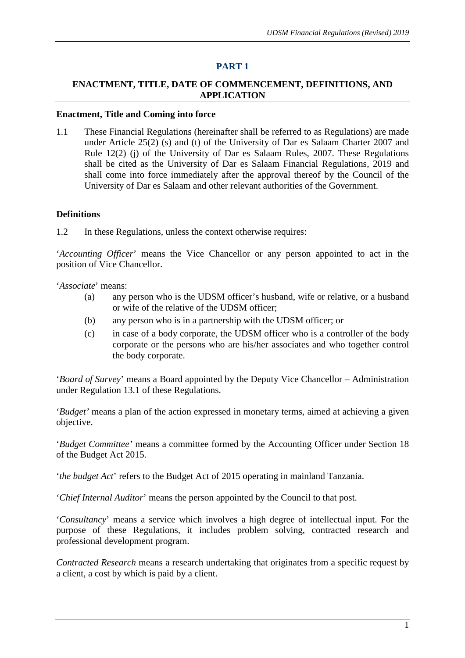#### **PART 1**

# **ENACTMENT, TITLE, DATE OF COMMENCEMENT, DEFINITIONS, AND APPLICATION**

#### **Enactment, Title and Coming into force**

1.1 These Financial Regulations (hereinafter shall be referred to as Regulations) are made under Article 25(2) (s) and (t) of the University of Dar es Salaam Charter 2007 and Rule 12(2) (j) of the University of Dar es Salaam Rules, 2007. These Regulations shall be cited as the University of Dar es Salaam Financial Regulations, 2019 and shall come into force immediately after the approval thereof by the Council of the University of Dar es Salaam and other relevant authorities of the Government.

#### **Definitions**

1.2 In these Regulations, unless the context otherwise requires:

'*Accounting Officer*' means the Vice Chancellor or any person appointed to act in the position of Vice Chancellor.

'*Associate*' means:

- (a) any person who is the UDSM officer's husband, wife or relative, or a husband or wife of the relative of the UDSM officer;
- (b) any person who is in a partnership with the UDSM officer; or
- (c) in case of a body corporate, the UDSM officer who is a controller of the body corporate or the persons who are his/her associates and who together control the body corporate.

'*Board of Survey*' means a Board appointed by the Deputy Vice Chancellor – Administration under Regulation 13.1 of these Regulations.

'*Budget'* means a plan of the action expressed in monetary terms, aimed at achieving a given objective.

'*Budget Committee'* means a committee formed by the Accounting Officer under Section 18 of the Budget Act 2015.

'*the budget Act*' refers to the Budget Act of 2015 operating in mainland Tanzania.

'*Chief Internal Auditor*' means the person appointed by the Council to that post.

'*Consultancy*' means a service which involves a high degree of intellectual input. For the purpose of these Regulations, it includes problem solving, contracted research and professional development program.

*Contracted Research* means a research undertaking that originates from a specific request by a client, a cost by which is paid by a client.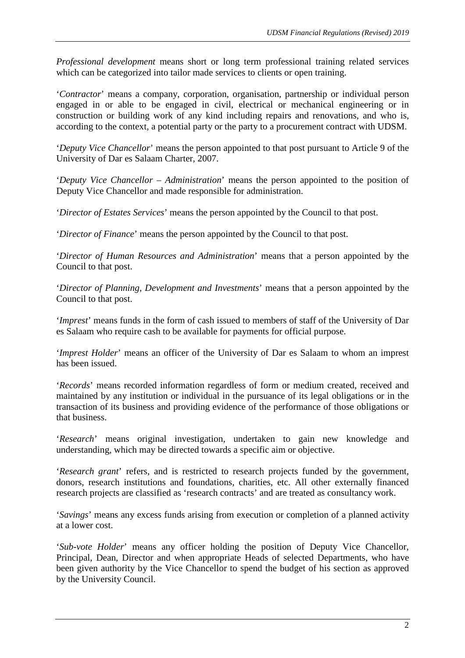*Professional development* means short or long term professional training related services which can be categorized into tailor made services to clients or open training.

'*Contractor*' means a company, corporation, organisation, partnership or individual person engaged in or able to be engaged in civil, electrical or mechanical engineering or in construction or building work of any kind including repairs and renovations, and who is, according to the context, a potential party or the party to a procurement contract with UDSM.

'*Deputy Vice Chancellor*' means the person appointed to that post pursuant to Article 9 of the University of Dar es Salaam Charter, 2007.

'*Deputy Vice Chancellor – Administration*' means the person appointed to the position of Deputy Vice Chancellor and made responsible for administration.

'*Director of Estates Services*' means the person appointed by the Council to that post.

'*Director of Finance*' means the person appointed by the Council to that post.

'*Director of Human Resources and Administration*' means that a person appointed by the Council to that post.

'*Director of Planning, Development and Investments*' means that a person appointed by the Council to that post.

'*Imprest*' means funds in the form of cash issued to members of staff of the University of Dar es Salaam who require cash to be available for payments for official purpose.

'*Imprest Holder*' means an officer of the University of Dar es Salaam to whom an imprest has been issued.

'*Records*' means recorded information regardless of form or medium created, received and maintained by any institution or individual in the pursuance of its legal obligations or in the transaction of its business and providing evidence of the performance of those obligations or that business.

'*Research*' means original investigation, undertaken to gain new knowledge and understanding, which may be directed towards a specific aim or objective.

'*Research grant*' refers, and is restricted to research projects funded by the government, donors, research institutions and foundations, charities, etc. All other externally financed research projects are classified as 'research contracts' and are treated as consultancy work.

'*Savings*' means any excess funds arising from execution or completion of a planned activity at a lower cost.

'*Sub-vote Holder*' means any officer holding the position of Deputy Vice Chancellor, Principal, Dean, Director and when appropriate Heads of selected Departments, who have been given authority by the Vice Chancellor to spend the budget of his section as approved by the University Council.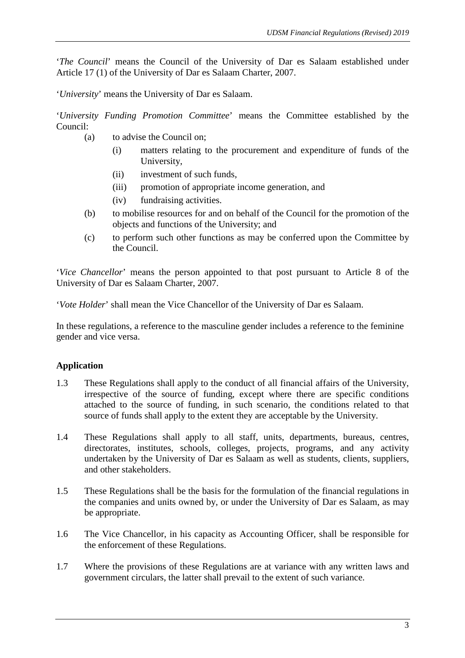'*The Council*' means the Council of the University of Dar es Salaam established under Article 17 (1) of the University of Dar es Salaam Charter, 2007.

'*University*' means the University of Dar es Salaam.

'*University Funding Promotion Committee*' means the Committee established by the Council:

- (a) to advise the Council on;
	- (i) matters relating to the procurement and expenditure of funds of the University,
	- (ii) investment of such funds,
	- (iii) promotion of appropriate income generation, and
	- (iv) fundraising activities.
- (b) to mobilise resources for and on behalf of the Council for the promotion of the objects and functions of the University; and
- (c) to perform such other functions as may be conferred upon the Committee by the Council.

'*Vice Chancellor*' means the person appointed to that post pursuant to Article 8 of the University of Dar es Salaam Charter, 2007.

'*Vote Holder*' shall mean the Vice Chancellor of the University of Dar es Salaam.

In these regulations, a reference to the masculine gender includes a reference to the feminine gender and vice versa.

# **Application**

- 1.3 These Regulations shall apply to the conduct of all financial affairs of the University, irrespective of the source of funding, except where there are specific conditions attached to the source of funding, in such scenario, the conditions related to that source of funds shall apply to the extent they are acceptable by the University.
- 1.4 These Regulations shall apply to all staff, units, departments, bureaus, centres, directorates, institutes, schools, colleges, projects, programs, and any activity undertaken by the University of Dar es Salaam as well as students, clients, suppliers, and other stakeholders.
- 1.5 These Regulations shall be the basis for the formulation of the financial regulations in the companies and units owned by, or under the University of Dar es Salaam, as may be appropriate.
- 1.6 The Vice Chancellor, in his capacity as Accounting Officer, shall be responsible for the enforcement of these Regulations.
- 1.7 Where the provisions of these Regulations are at variance with any written laws and government circulars, the latter shall prevail to the extent of such variance.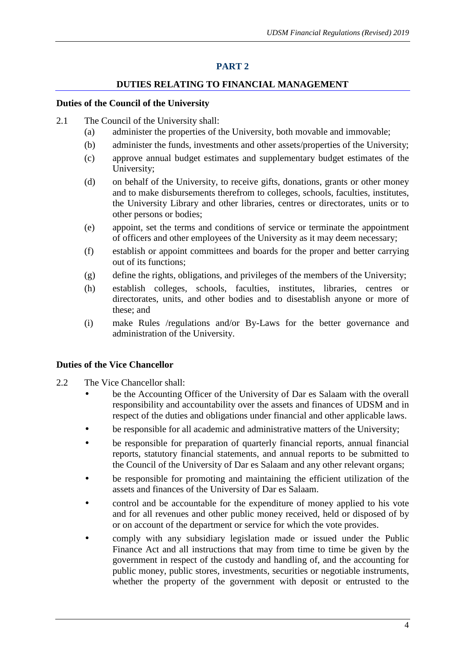# **PART 2**

# **DUTIES RELATING TO FINANCIAL MANAGEMENT**

## **Duties of the Council of the University**

- 2.1 The Council of the University shall:
	- (a) administer the properties of the University, both movable and immovable;
	- (b) administer the funds, investments and other assets/properties of the University;
	- (c) approve annual budget estimates and supplementary budget estimates of the University;
	- (d) on behalf of the University, to receive gifts, donations, grants or other money and to make disbursements therefrom to colleges, schools, faculties, institutes, the University Library and other libraries, centres or directorates, units or to other persons or bodies;
	- (e) appoint, set the terms and conditions of service or terminate the appointment of officers and other employees of the University as it may deem necessary;
	- (f) establish or appoint committees and boards for the proper and better carrying out of its functions;
	- (g) define the rights, obligations, and privileges of the members of the University;
	- (h) establish colleges, schools, faculties, institutes, libraries, centres or directorates, units, and other bodies and to disestablish anyone or more of these; and
	- (i) make Rules /regulations and/or By-Laws for the better governance and administration of the University.

# **Duties of the Vice Chancellor**

- 2.2 The Vice Chancellor shall:
	- be the Accounting Officer of the University of Dar es Salaam with the overall responsibility and accountability over the assets and finances of UDSM and in respect of the duties and obligations under financial and other applicable laws.
	- be responsible for all academic and administrative matters of the University;
	- be responsible for preparation of quarterly financial reports, annual financial reports, statutory financial statements, and annual reports to be submitted to the Council of the University of Dar es Salaam and any other relevant organs;
	- be responsible for promoting and maintaining the efficient utilization of the assets and finances of the University of Dar es Salaam.
	- control and be accountable for the expenditure of money applied to his vote and for all revenues and other public money received, held or disposed of by or on account of the department or service for which the vote provides.
	- comply with any subsidiary legislation made or issued under the Public Finance Act and all instructions that may from time to time be given by the government in respect of the custody and handling of, and the accounting for public money, public stores, investments, securities or negotiable instruments, whether the property of the government with deposit or entrusted to the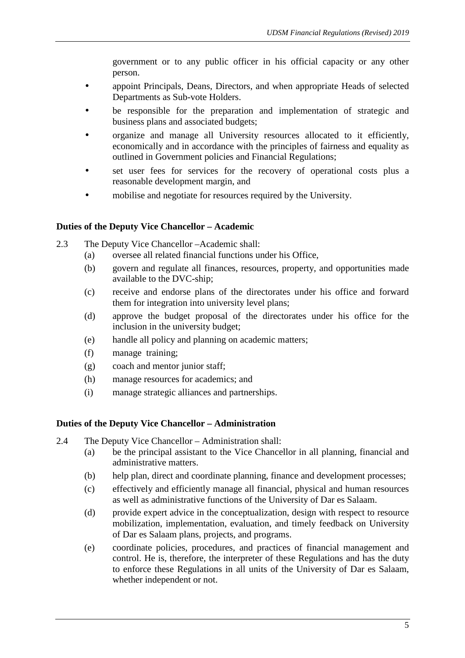government or to any public officer in his official capacity or any other person.

- appoint Principals, Deans, Directors, and when appropriate Heads of selected Departments as Sub-vote Holders.
- be responsible for the preparation and implementation of strategic and business plans and associated budgets;
- organize and manage all University resources allocated to it efficiently, economically and in accordance with the principles of fairness and equality as outlined in Government policies and Financial Regulations;
- set user fees for services for the recovery of operational costs plus a reasonable development margin, and
- mobilise and negotiate for resources required by the University.

## **Duties of the Deputy Vice Chancellor – Academic**

- 2.3 The Deputy Vice Chancellor –Academic shall:
	- (a) oversee all related financial functions under his Office,
		- (b) govern and regulate all finances, resources, property, and opportunities made available to the DVC-ship;
		- (c) receive and endorse plans of the directorates under his office and forward them for integration into university level plans;
		- (d) approve the budget proposal of the directorates under his office for the inclusion in the university budget;
		- (e) handle all policy and planning on academic matters;
		- (f) manage training;
		- (g) coach and mentor junior staff;
		- (h) manage resources for academics; and
		- (i) manage strategic alliances and partnerships.

#### **Duties of the Deputy Vice Chancellor – Administration**

- 2.4 The Deputy Vice Chancellor Administration shall:
	- (a) be the principal assistant to the Vice Chancellor in all planning, financial and administrative matters.
	- (b) help plan, direct and coordinate planning, finance and development processes;
	- (c) effectively and efficiently manage all financial, physical and human resources as well as administrative functions of the University of Dar es Salaam.
	- (d) provide expert advice in the conceptualization, design with respect to resource mobilization, implementation, evaluation, and timely feedback on University of Dar es Salaam plans, projects, and programs.
	- (e) coordinate policies, procedures, and practices of financial management and control. He is, therefore, the interpreter of these Regulations and has the duty to enforce these Regulations in all units of the University of Dar es Salaam, whether independent or not.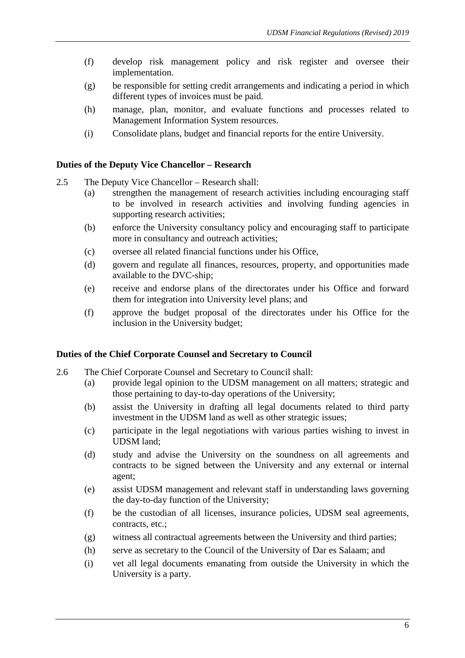- (f) develop risk management policy and risk register and oversee their implementation.
- (g) be responsible for setting credit arrangements and indicating a period in which different types of invoices must be paid.
- (h) manage, plan, monitor, and evaluate functions and processes related to Management Information System resources.
- (i) Consolidate plans, budget and financial reports for the entire University.

# **Duties of the Deputy Vice Chancellor – Research**

- 2.5 The Deputy Vice Chancellor Research shall:
	- (a) strengthen the management of research activities including encouraging staff to be involved in research activities and involving funding agencies in supporting research activities;
	- (b) enforce the University consultancy policy and encouraging staff to participate more in consultancy and outreach activities;
	- (c) oversee all related financial functions under his Office,
	- (d) govern and regulate all finances, resources, property, and opportunities made available to the DVC-ship;
	- (e) receive and endorse plans of the directorates under his Office and forward them for integration into University level plans; and
	- (f) approve the budget proposal of the directorates under his Office for the inclusion in the University budget;

# **Duties of the Chief Corporate Counsel and Secretary to Council**

- 2.6 The Chief Corporate Counsel and Secretary to Council shall:
	- (a) provide legal opinion to the UDSM management on all matters; strategic and those pertaining to day-to-day operations of the University;
	- (b) assist the University in drafting all legal documents related to third party investment in the UDSM land as well as other strategic issues;
	- (c) participate in the legal negotiations with various parties wishing to invest in UDSM land;
	- (d) study and advise the University on the soundness on all agreements and contracts to be signed between the University and any external or internal agent;
	- (e) assist UDSM management and relevant staff in understanding laws governing the day-to-day function of the University;
	- (f) be the custodian of all licenses, insurance policies, UDSM seal agreements, contracts, etc.;
	- (g) witness all contractual agreements between the University and third parties;
	- (h) serve as secretary to the Council of the University of Dar es Salaam; and
	- (i) vet all legal documents emanating from outside the University in which the University is a party.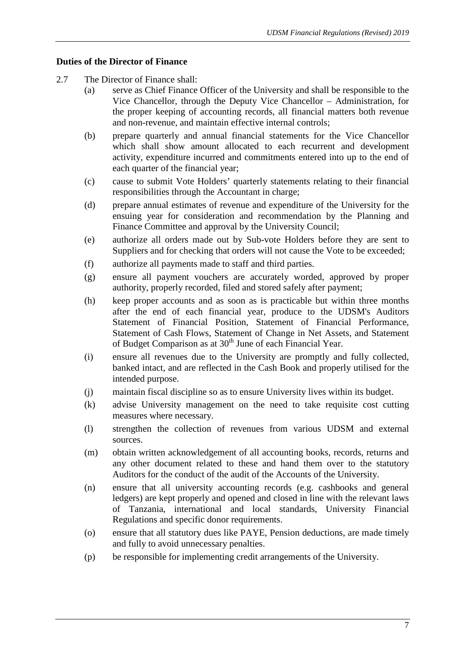# **Duties of the Director of Finance**

- 2.7 The Director of Finance shall:
	- (a) serve as Chief Finance Officer of the University and shall be responsible to the Vice Chancellor, through the Deputy Vice Chancellor – Administration, for the proper keeping of accounting records, all financial matters both revenue and non-revenue, and maintain effective internal controls;
	- (b) prepare quarterly and annual financial statements for the Vice Chancellor which shall show amount allocated to each recurrent and development activity, expenditure incurred and commitments entered into up to the end of each quarter of the financial year;
	- (c) cause to submit Vote Holders' quarterly statements relating to their financial responsibilities through the Accountant in charge;
	- (d) prepare annual estimates of revenue and expenditure of the University for the ensuing year for consideration and recommendation by the Planning and Finance Committee and approval by the University Council;
	- (e) authorize all orders made out by Sub-vote Holders before they are sent to Suppliers and for checking that orders will not cause the Vote to be exceeded;
	- (f) authorize all payments made to staff and third parties.
	- (g) ensure all payment vouchers are accurately worded, approved by proper authority, properly recorded, filed and stored safely after payment;
	- (h) keep proper accounts and as soon as is practicable but within three months after the end of each financial year, produce to the UDSM's Auditors Statement of Financial Position, Statement of Financial Performance, Statement of Cash Flows, Statement of Change in Net Assets, and Statement of Budget Comparison as at 30<sup>th</sup> June of each Financial Year.
	- (i) ensure all revenues due to the University are promptly and fully collected, banked intact, and are reflected in the Cash Book and properly utilised for the intended purpose.
	- (j) maintain fiscal discipline so as to ensure University lives within its budget.
	- (k) advise University management on the need to take requisite cost cutting measures where necessary.
	- (l) strengthen the collection of revenues from various UDSM and external sources.
	- (m) obtain written acknowledgement of all accounting books, records, returns and any other document related to these and hand them over to the statutory Auditors for the conduct of the audit of the Accounts of the University.
	- (n) ensure that all university accounting records (e.g. cashbooks and general ledgers) are kept properly and opened and closed in line with the relevant laws of Tanzania, international and local standards, University Financial Regulations and specific donor requirements.
	- (o) ensure that all statutory dues like PAYE, Pension deductions, are made timely and fully to avoid unnecessary penalties.
	- (p) be responsible for implementing credit arrangements of the University.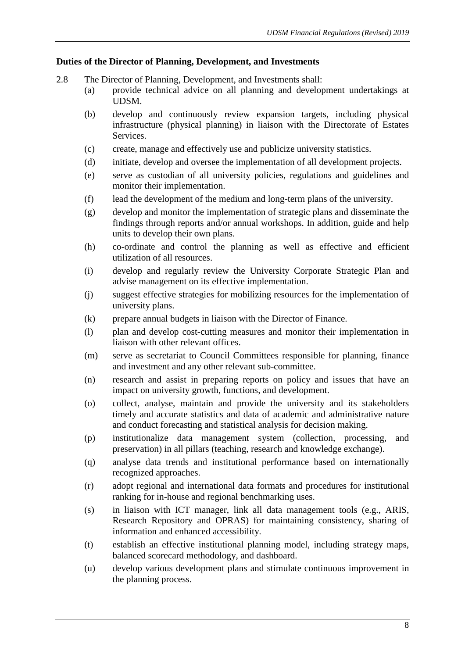# **Duties of the Director of Planning, Development, and Investments**

- 2.8 The Director of Planning, Development, and Investments shall:
	- (a) provide technical advice on all planning and development undertakings at UDSM.
	- (b) develop and continuously review expansion targets, including physical infrastructure (physical planning) in liaison with the Directorate of Estates Services.
	- (c) create, manage and effectively use and publicize university statistics.
	- (d) initiate, develop and oversee the implementation of all development projects.
	- (e) serve as custodian of all university policies, regulations and guidelines and monitor their implementation.
	- (f) lead the development of the medium and long-term plans of the university.
	- (g) develop and monitor the implementation of strategic plans and disseminate the findings through reports and/or annual workshops. In addition, guide and help units to develop their own plans.
	- (h) co-ordinate and control the planning as well as effective and efficient utilization of all resources.
	- (i) develop and regularly review the University Corporate Strategic Plan and advise management on its effective implementation.
	- (j) suggest effective strategies for mobilizing resources for the implementation of university plans.
	- (k) prepare annual budgets in liaison with the Director of Finance.
	- (l) plan and develop cost-cutting measures and monitor their implementation in liaison with other relevant offices.
	- (m) serve as secretariat to Council Committees responsible for planning, finance and investment and any other relevant sub-committee.
	- (n) research and assist in preparing reports on policy and issues that have an impact on university growth, functions, and development.
	- (o) collect, analyse, maintain and provide the university and its stakeholders timely and accurate statistics and data of academic and administrative nature and conduct forecasting and statistical analysis for decision making.
	- (p) institutionalize data management system (collection, processing, and preservation) in all pillars (teaching, research and knowledge exchange).
	- (q) analyse data trends and institutional performance based on internationally recognized approaches.
	- (r) adopt regional and international data formats and procedures for institutional ranking for in-house and regional benchmarking uses.
	- (s) in liaison with ICT manager, link all data management tools (e.g., ARIS, Research Repository and OPRAS) for maintaining consistency, sharing of information and enhanced accessibility.
	- (t) establish an effective institutional planning model, including strategy maps, balanced scorecard methodology, and dashboard.
	- (u) develop various development plans and stimulate continuous improvement in the planning process.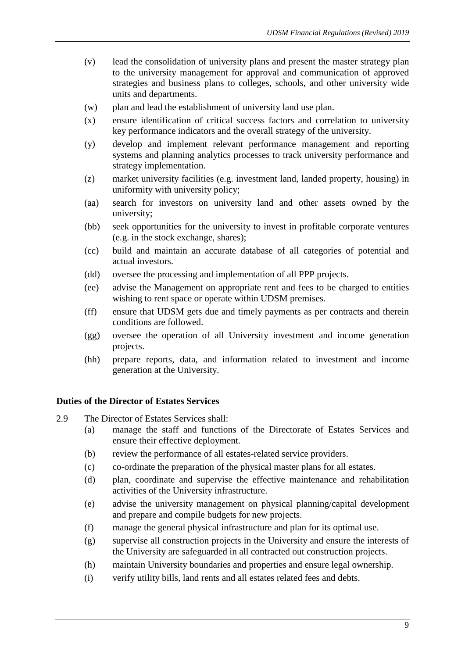- (v) lead the consolidation of university plans and present the master strategy plan to the university management for approval and communication of approved strategies and business plans to colleges, schools, and other university wide units and departments.
- (w) plan and lead the establishment of university land use plan.
- (x) ensure identification of critical success factors and correlation to university key performance indicators and the overall strategy of the university.
- (y) develop and implement relevant performance management and reporting systems and planning analytics processes to track university performance and strategy implementation.
- (z) market university facilities (e.g. investment land, landed property, housing) in uniformity with university policy;
- (aa) search for investors on university land and other assets owned by the university;
- (bb) seek opportunities for the university to invest in profitable corporate ventures (e.g. in the stock exchange, shares);
- (cc) build and maintain an accurate database of all categories of potential and actual investors.
- (dd) oversee the processing and implementation of all PPP projects.
- (ee) advise the Management on appropriate rent and fees to be charged to entities wishing to rent space or operate within UDSM premises.
- (ff) ensure that UDSM gets due and timely payments as per contracts and therein conditions are followed.
- (gg) oversee the operation of all University investment and income generation projects.
- (hh) prepare reports, data, and information related to investment and income generation at the University.

#### **Duties of the Director of Estates Services**

- 2.9 The Director of Estates Services shall:
	- (a) manage the staff and functions of the Directorate of Estates Services and ensure their effective deployment.
	- (b) review the performance of all estates-related service providers.
	- (c) co-ordinate the preparation of the physical master plans for all estates.
	- (d) plan, coordinate and supervise the effective maintenance and rehabilitation activities of the University infrastructure.
	- (e) advise the university management on physical planning/capital development and prepare and compile budgets for new projects.
	- (f) manage the general physical infrastructure and plan for its optimal use.
	- (g) supervise all construction projects in the University and ensure the interests of the University are safeguarded in all contracted out construction projects.
	- (h) maintain University boundaries and properties and ensure legal ownership.
	- (i) verify utility bills, land rents and all estates related fees and debts.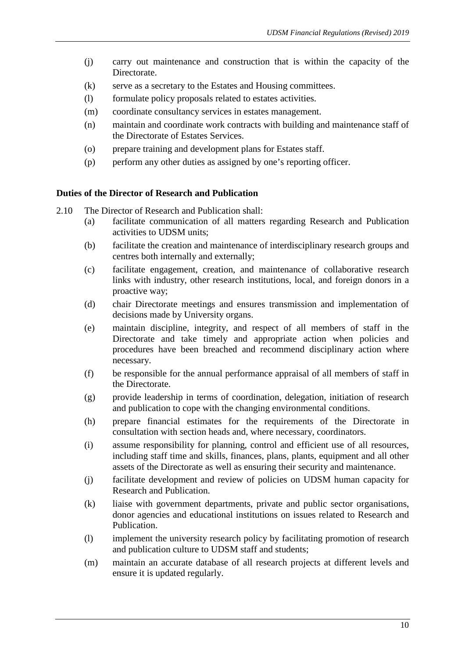- (j) carry out maintenance and construction that is within the capacity of the Directorate.
- (k) serve as a secretary to the Estates and Housing committees.
- (l) formulate policy proposals related to estates activities.
- (m) coordinate consultancy services in estates management.
- (n) maintain and coordinate work contracts with building and maintenance staff of the Directorate of Estates Services.
- (o) prepare training and development plans for Estates staff.
- (p) perform any other duties as assigned by one's reporting officer.

#### **Duties of the Director of Research and Publication**

2.10 The Director of Research and Publication shall:

- (a) facilitate communication of all matters regarding Research and Publication activities to UDSM units;
- (b) facilitate the creation and maintenance of interdisciplinary research groups and centres both internally and externally;
- (c) facilitate engagement, creation, and maintenance of collaborative research links with industry, other research institutions, local, and foreign donors in a proactive way;
- (d) chair Directorate meetings and ensures transmission and implementation of decisions made by University organs.
- (e) maintain discipline, integrity, and respect of all members of staff in the Directorate and take timely and appropriate action when policies and procedures have been breached and recommend disciplinary action where necessary.
- (f) be responsible for the annual performance appraisal of all members of staff in the Directorate.
- (g) provide leadership in terms of coordination, delegation, initiation of research and publication to cope with the changing environmental conditions.
- (h) prepare financial estimates for the requirements of the Directorate in consultation with section heads and, where necessary, coordinators.
- (i) assume responsibility for planning, control and efficient use of all resources, including staff time and skills, finances, plans, plants, equipment and all other assets of the Directorate as well as ensuring their security and maintenance.
- (j) facilitate development and review of policies on UDSM human capacity for Research and Publication.
- (k) liaise with government departments, private and public sector organisations, donor agencies and educational institutions on issues related to Research and Publication.
- (l) implement the university research policy by facilitating promotion of research and publication culture to UDSM staff and students;
- (m) maintain an accurate database of all research projects at different levels and ensure it is updated regularly.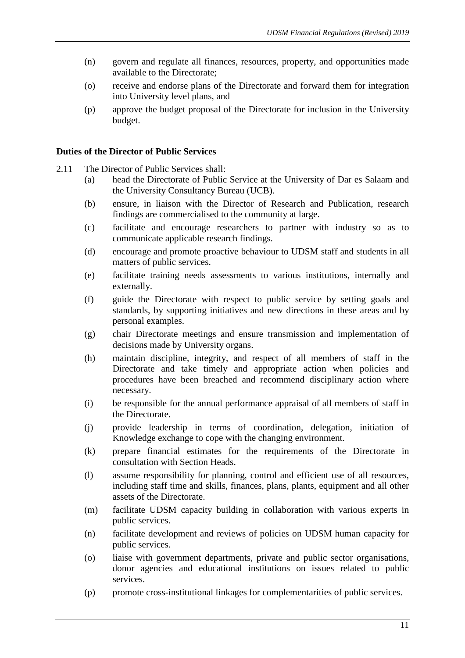- (n) govern and regulate all finances, resources, property, and opportunities made available to the Directorate;
- (o) receive and endorse plans of the Directorate and forward them for integration into University level plans, and
- (p) approve the budget proposal of the Directorate for inclusion in the University budget.

# **Duties of the Director of Public Services**

- 2.11 The Director of Public Services shall:
	- (a) head the Directorate of Public Service at the University of Dar es Salaam and the University Consultancy Bureau (UCB).
	- (b) ensure, in liaison with the Director of Research and Publication, research findings are commercialised to the community at large.
	- (c) facilitate and encourage researchers to partner with industry so as to communicate applicable research findings.
	- (d) encourage and promote proactive behaviour to UDSM staff and students in all matters of public services.
	- (e) facilitate training needs assessments to various institutions, internally and externally.
	- (f) guide the Directorate with respect to public service by setting goals and standards, by supporting initiatives and new directions in these areas and by personal examples.
	- (g) chair Directorate meetings and ensure transmission and implementation of decisions made by University organs.
	- (h) maintain discipline, integrity, and respect of all members of staff in the Directorate and take timely and appropriate action when policies and procedures have been breached and recommend disciplinary action where necessary.
	- (i) be responsible for the annual performance appraisal of all members of staff in the Directorate.
	- (j) provide leadership in terms of coordination, delegation, initiation of Knowledge exchange to cope with the changing environment.
	- (k) prepare financial estimates for the requirements of the Directorate in consultation with Section Heads.
	- (l) assume responsibility for planning, control and efficient use of all resources, including staff time and skills, finances, plans, plants, equipment and all other assets of the Directorate.
	- (m) facilitate UDSM capacity building in collaboration with various experts in public services.
	- (n) facilitate development and reviews of policies on UDSM human capacity for public services.
	- (o) liaise with government departments, private and public sector organisations, donor agencies and educational institutions on issues related to public services.
	- (p) promote cross-institutional linkages for complementarities of public services.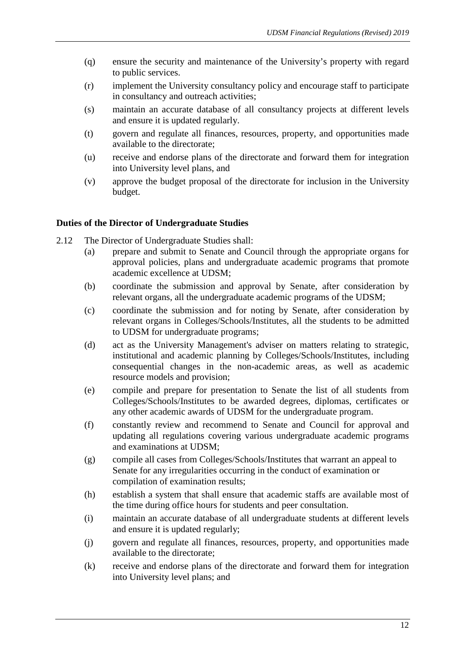- (q) ensure the security and maintenance of the University's property with regard to public services.
- (r) implement the University consultancy policy and encourage staff to participate in consultancy and outreach activities;
- (s) maintain an accurate database of all consultancy projects at different levels and ensure it is updated regularly.
- (t) govern and regulate all finances, resources, property, and opportunities made available to the directorate;
- (u) receive and endorse plans of the directorate and forward them for integration into University level plans, and
- (v) approve the budget proposal of the directorate for inclusion in the University budget.

# **Duties of the Director of Undergraduate Studies**

- 2.12 The Director of Undergraduate Studies shall:
	- (a) prepare and submit to Senate and Council through the appropriate organs for approval policies, plans and undergraduate academic programs that promote academic excellence at UDSM;
	- (b) coordinate the submission and approval by Senate, after consideration by relevant organs, all the undergraduate academic programs of the UDSM;
	- (c) coordinate the submission and for noting by Senate, after consideration by relevant organs in Colleges/Schools/Institutes, all the students to be admitted to UDSM for undergraduate programs;
	- (d) act as the University Management's adviser on matters relating to strategic, institutional and academic planning by Colleges/Schools/Institutes, including consequential changes in the non-academic areas, as well as academic resource models and provision;
	- (e) compile and prepare for presentation to Senate the list of all students from Colleges/Schools/Institutes to be awarded degrees, diplomas, certificates or any other academic awards of UDSM for the undergraduate program.
	- (f) constantly review and recommend to Senate and Council for approval and updating all regulations covering various undergraduate academic programs and examinations at UDSM;
	- (g) compile all cases from Colleges/Schools/Institutes that warrant an appeal to Senate for any irregularities occurring in the conduct of examination or compilation of examination results;
	- (h) establish a system that shall ensure that academic staffs are available most of the time during office hours for students and peer consultation.
	- (i) maintain an accurate database of all undergraduate students at different levels and ensure it is updated regularly;
	- (j) govern and regulate all finances, resources, property, and opportunities made available to the directorate;
	- (k) receive and endorse plans of the directorate and forward them for integration into University level plans; and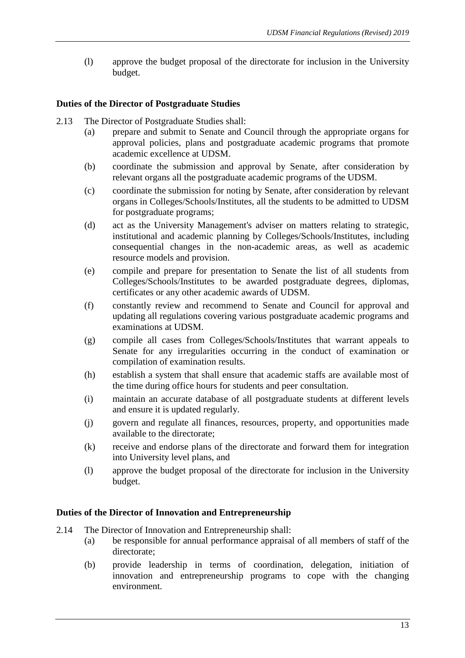(l) approve the budget proposal of the directorate for inclusion in the University budget.

# **Duties of the Director of Postgraduate Studies**

- 2.13 The Director of Postgraduate Studies shall:
	- (a) prepare and submit to Senate and Council through the appropriate organs for approval policies, plans and postgraduate academic programs that promote academic excellence at UDSM.
	- (b) coordinate the submission and approval by Senate, after consideration by relevant organs all the postgraduate academic programs of the UDSM.
	- (c) coordinate the submission for noting by Senate, after consideration by relevant organs in Colleges/Schools/Institutes, all the students to be admitted to UDSM for postgraduate programs;
	- (d) act as the University Management's adviser on matters relating to strategic, institutional and academic planning by Colleges/Schools/Institutes, including consequential changes in the non-academic areas, as well as academic resource models and provision.
	- (e) compile and prepare for presentation to Senate the list of all students from Colleges/Schools/Institutes to be awarded postgraduate degrees, diplomas, certificates or any other academic awards of UDSM.
	- (f) constantly review and recommend to Senate and Council for approval and updating all regulations covering various postgraduate academic programs and examinations at UDSM.
	- (g) compile all cases from Colleges/Schools/Institutes that warrant appeals to Senate for any irregularities occurring in the conduct of examination or compilation of examination results.
	- (h) establish a system that shall ensure that academic staffs are available most of the time during office hours for students and peer consultation.
	- (i) maintain an accurate database of all postgraduate students at different levels and ensure it is updated regularly.
	- (j) govern and regulate all finances, resources, property, and opportunities made available to the directorate;
	- (k) receive and endorse plans of the directorate and forward them for integration into University level plans, and
	- (l) approve the budget proposal of the directorate for inclusion in the University budget.

# **Duties of the Director of Innovation and Entrepreneurship**

- 2.14 The Director of Innovation and Entrepreneurship shall:
	- (a) be responsible for annual performance appraisal of all members of staff of the directorate;
	- (b) provide leadership in terms of coordination, delegation, initiation of innovation and entrepreneurship programs to cope with the changing environment.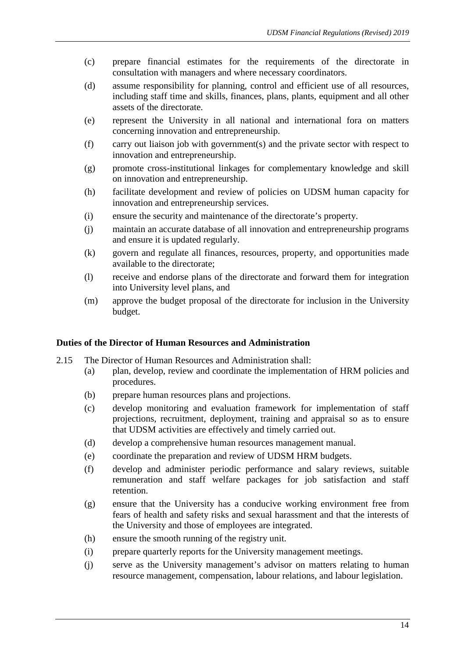- (c) prepare financial estimates for the requirements of the directorate in consultation with managers and where necessary coordinators.
- (d) assume responsibility for planning, control and efficient use of all resources, including staff time and skills, finances, plans, plants, equipment and all other assets of the directorate.
- (e) represent the University in all national and international fora on matters concerning innovation and entrepreneurship.
- (f) carry out liaison job with government(s) and the private sector with respect to innovation and entrepreneurship.
- (g) promote cross-institutional linkages for complementary knowledge and skill on innovation and entrepreneurship.
- (h) facilitate development and review of policies on UDSM human capacity for innovation and entrepreneurship services.
- (i) ensure the security and maintenance of the directorate's property.
- (j) maintain an accurate database of all innovation and entrepreneurship programs and ensure it is updated regularly.
- (k) govern and regulate all finances, resources, property, and opportunities made available to the directorate;
- (l) receive and endorse plans of the directorate and forward them for integration into University level plans, and
- (m) approve the budget proposal of the directorate for inclusion in the University budget.

# **Duties of the Director of Human Resources and Administration**

- 2.15 The Director of Human Resources and Administration shall:
	- (a) plan, develop, review and coordinate the implementation of HRM policies and procedures.
	- (b) prepare human resources plans and projections.
	- (c) develop monitoring and evaluation framework for implementation of staff projections, recruitment, deployment, training and appraisal so as to ensure that UDSM activities are effectively and timely carried out.
	- (d) develop a comprehensive human resources management manual.
	- (e) coordinate the preparation and review of UDSM HRM budgets.
	- (f) develop and administer periodic performance and salary reviews, suitable remuneration and staff welfare packages for job satisfaction and staff retention.
	- (g) ensure that the University has a conducive working environment free from fears of health and safety risks and sexual harassment and that the interests of the University and those of employees are integrated.
	- (h) ensure the smooth running of the registry unit.
	- (i) prepare quarterly reports for the University management meetings.
	- (j) serve as the University management's advisor on matters relating to human resource management, compensation, labour relations, and labour legislation.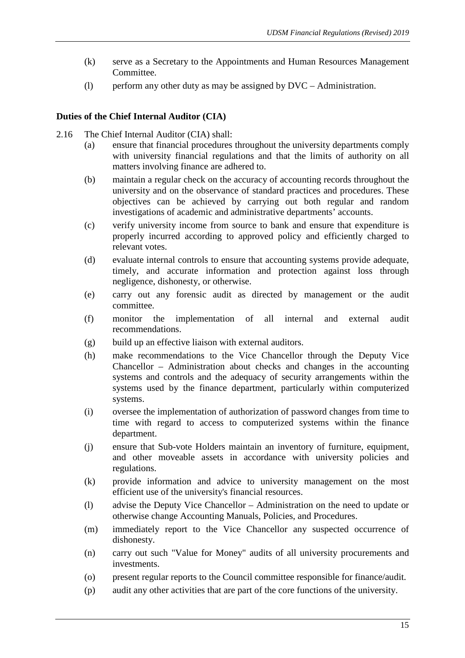- (k) serve as a Secretary to the Appointments and Human Resources Management Committee.
- (l) perform any other duty as may be assigned by DVC Administration.

# **Duties of the Chief Internal Auditor (CIA)**

- 2.16 The Chief Internal Auditor (CIA) shall:
	- (a) ensure that financial procedures throughout the university departments comply with university financial regulations and that the limits of authority on all matters involving finance are adhered to.
	- (b) maintain a regular check on the accuracy of accounting records throughout the university and on the observance of standard practices and procedures. These objectives can be achieved by carrying out both regular and random investigations of academic and administrative departments' accounts.
	- (c) verify university income from source to bank and ensure that expenditure is properly incurred according to approved policy and efficiently charged to relevant votes.
	- (d) evaluate internal controls to ensure that accounting systems provide adequate, timely, and accurate information and protection against loss through negligence, dishonesty, or otherwise.
	- (e) carry out any forensic audit as directed by management or the audit committee.
	- (f) monitor the implementation of all internal and external audit recommendations.
	- (g) build up an effective liaison with external auditors.
	- (h) make recommendations to the Vice Chancellor through the Deputy Vice Chancellor – Administration about checks and changes in the accounting systems and controls and the adequacy of security arrangements within the systems used by the finance department, particularly within computerized systems.
	- (i) oversee the implementation of authorization of password changes from time to time with regard to access to computerized systems within the finance department.
	- (j) ensure that Sub-vote Holders maintain an inventory of furniture, equipment, and other moveable assets in accordance with university policies and regulations.
	- (k) provide information and advice to university management on the most efficient use of the university's financial resources.
	- (l) advise the Deputy Vice Chancellor Administration on the need to update or otherwise change Accounting Manuals, Policies, and Procedures.
	- (m) immediately report to the Vice Chancellor any suspected occurrence of dishonesty.
	- (n) carry out such "Value for Money" audits of all university procurements and investments.
	- (o) present regular reports to the Council committee responsible for finance/audit.
	- (p) audit any other activities that are part of the core functions of the university.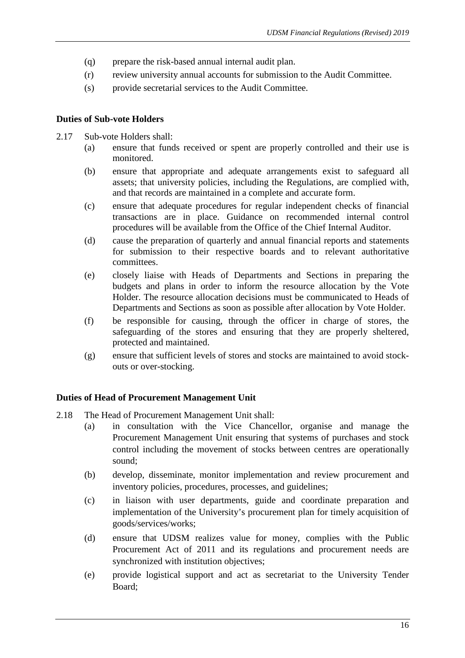- (q) prepare the risk-based annual internal audit plan.
- (r) review university annual accounts for submission to the Audit Committee.
- (s) provide secretarial services to the Audit Committee.

# **Duties of Sub-vote Holders**

- 2.17 Sub-vote Holders shall:
	- (a) ensure that funds received or spent are properly controlled and their use is monitored.
	- (b) ensure that appropriate and adequate arrangements exist to safeguard all assets; that university policies, including the Regulations, are complied with, and that records are maintained in a complete and accurate form.
	- (c) ensure that adequate procedures for regular independent checks of financial transactions are in place. Guidance on recommended internal control procedures will be available from the Office of the Chief Internal Auditor.
	- (d) cause the preparation of quarterly and annual financial reports and statements for submission to their respective boards and to relevant authoritative committees.
	- (e) closely liaise with Heads of Departments and Sections in preparing the budgets and plans in order to inform the resource allocation by the Vote Holder. The resource allocation decisions must be communicated to Heads of Departments and Sections as soon as possible after allocation by Vote Holder.
	- (f) be responsible for causing, through the officer in charge of stores, the safeguarding of the stores and ensuring that they are properly sheltered, protected and maintained.
	- (g) ensure that sufficient levels of stores and stocks are maintained to avoid stockouts or over-stocking.

# **Duties of Head of Procurement Management Unit**

- 2.18 The Head of Procurement Management Unit shall:
	- (a) in consultation with the Vice Chancellor, organise and manage the Procurement Management Unit ensuring that systems of purchases and stock control including the movement of stocks between centres are operationally sound;
	- (b) develop, disseminate, monitor implementation and review procurement and inventory policies, procedures, processes, and guidelines;
	- (c) in liaison with user departments, guide and coordinate preparation and implementation of the University's procurement plan for timely acquisition of goods/services/works;
	- (d) ensure that UDSM realizes value for money, complies with the Public Procurement Act of 2011 and its regulations and procurement needs are synchronized with institution objectives;
	- (e) provide logistical support and act as secretariat to the University Tender Board;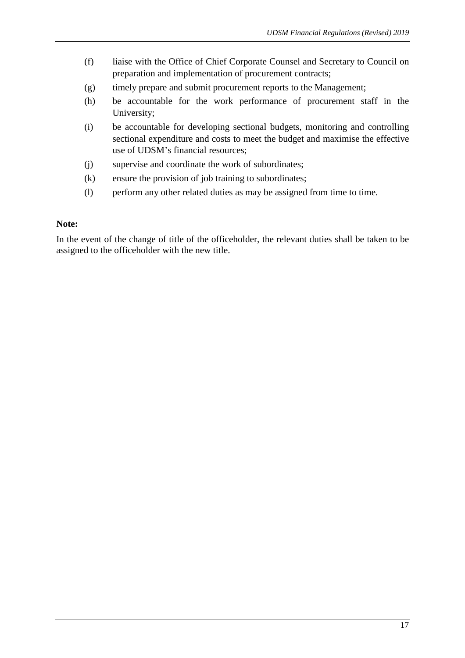- (f) liaise with the Office of Chief Corporate Counsel and Secretary to Council on preparation and implementation of procurement contracts;
- (g) timely prepare and submit procurement reports to the Management;
- (h) be accountable for the work performance of procurement staff in the University;
- (i) be accountable for developing sectional budgets, monitoring and controlling sectional expenditure and costs to meet the budget and maximise the effective use of UDSM's financial resources;
- (j) supervise and coordinate the work of subordinates;
- (k) ensure the provision of job training to subordinates;
- (l) perform any other related duties as may be assigned from time to time.

#### **Note:**

In the event of the change of title of the officeholder, the relevant duties shall be taken to be assigned to the officeholder with the new title.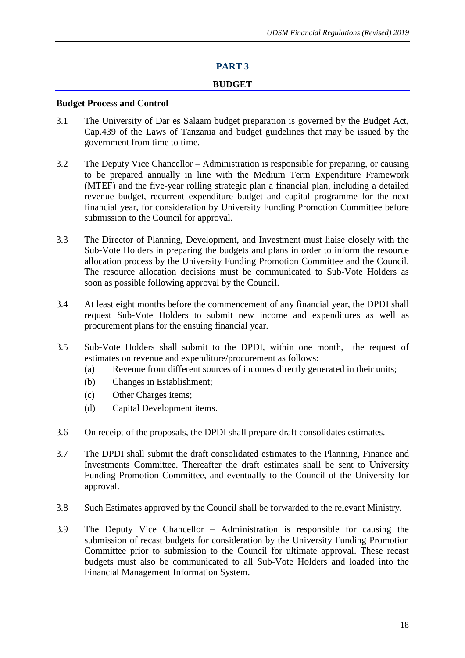# **PART 3**

#### **BUDGET**

#### **Budget Process and Control**

- 3.1 The University of Dar es Salaam budget preparation is governed by the Budget Act, Cap.439 of the Laws of Tanzania and budget guidelines that may be issued by the government from time to time.
- 3.2 The Deputy Vice Chancellor Administration is responsible for preparing, or causing to be prepared annually in line with the Medium Term Expenditure Framework (MTEF) and the five-year rolling strategic plan a financial plan, including a detailed revenue budget, recurrent expenditure budget and capital programme for the next financial year, for consideration by University Funding Promotion Committee before submission to the Council for approval.
- 3.3 The Director of Planning, Development, and Investment must liaise closely with the Sub-Vote Holders in preparing the budgets and plans in order to inform the resource allocation process by the University Funding Promotion Committee and the Council. The resource allocation decisions must be communicated to Sub-Vote Holders as soon as possible following approval by the Council.
- 3.4 At least eight months before the commencement of any financial year, the DPDI shall request Sub-Vote Holders to submit new income and expenditures as well as procurement plans for the ensuing financial year.
- 3.5 Sub-Vote Holders shall submit to the DPDI, within one month, the request of estimates on revenue and expenditure/procurement as follows:
	- (a) Revenue from different sources of incomes directly generated in their units;
	- (b) Changes in Establishment;
	- (c) Other Charges items;
	- (d) Capital Development items.
- 3.6 On receipt of the proposals, the DPDI shall prepare draft consolidates estimates.
- 3.7 The DPDI shall submit the draft consolidated estimates to the Planning, Finance and Investments Committee. Thereafter the draft estimates shall be sent to University Funding Promotion Committee, and eventually to the Council of the University for approval.
- 3.8 Such Estimates approved by the Council shall be forwarded to the relevant Ministry.
- 3.9 The Deputy Vice Chancellor Administration is responsible for causing the submission of recast budgets for consideration by the University Funding Promotion Committee prior to submission to the Council for ultimate approval. These recast budgets must also be communicated to all Sub-Vote Holders and loaded into the Financial Management Information System.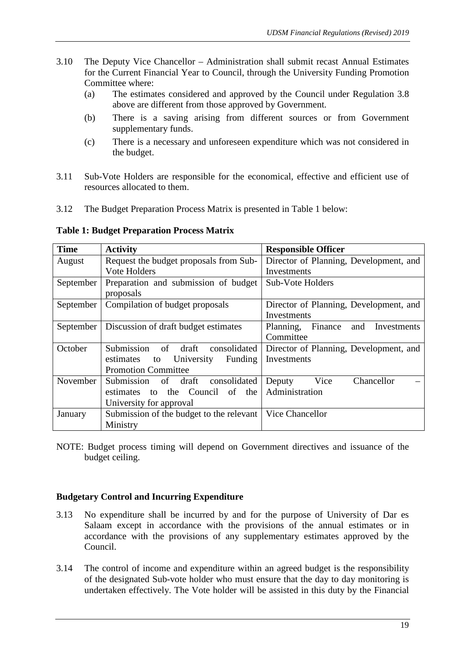- 3.10 The Deputy Vice Chancellor Administration shall submit recast Annual Estimates for the Current Financial Year to Council, through the University Funding Promotion Committee where:
	- (a) The estimates considered and approved by the Council under Regulation 3.8 above are different from those approved by Government.
	- (b) There is a saving arising from different sources or from Government supplementary funds.
	- (c) There is a necessary and unforeseen expenditure which was not considered in the budget.
- 3.11 Sub-Vote Holders are responsible for the economical, effective and efficient use of resources allocated to them.
- 3.12 The Budget Preparation Process Matrix is presented in Table 1 below:

**Table 1: Budget Preparation Process Matrix** 

| <b>Time</b> | <b>Activity</b>                          | <b>Responsible Officer</b>              |
|-------------|------------------------------------------|-----------------------------------------|
| August      | Request the budget proposals from Sub-   | Director of Planning, Development, and  |
|             | Vote Holders                             | Investments                             |
| September   | Preparation and submission of budget     | Sub-Vote Holders                        |
|             | proposals                                |                                         |
| September   | Compilation of budget proposals          | Director of Planning, Development, and  |
|             |                                          | Investments                             |
| September   | Discussion of draft budget estimates     | Planning, Finance<br>Investments<br>and |
|             |                                          | Committee                               |
| October     | Submission of<br>draft<br>consolidated   | Director of Planning, Development, and  |
|             | estimates to University<br>Funding       | Investments                             |
|             | <b>Promotion Committee</b>               |                                         |
| November    | Submission of draft<br>consolidated      | Vice<br>Chancellor<br>Deputy            |
|             | estimates to the Council of the          | Administration                          |
|             | University for approval                  |                                         |
| January     | Submission of the budget to the relevant | Vice Chancellor                         |
|             | Ministry                                 |                                         |

NOTE: Budget process timing will depend on Government directives and issuance of the budget ceiling.

#### **Budgetary Control and Incurring Expenditure**

- 3.13 No expenditure shall be incurred by and for the purpose of University of Dar es Salaam except in accordance with the provisions of the annual estimates or in accordance with the provisions of any supplementary estimates approved by the Council.
- 3.14 The control of income and expenditure within an agreed budget is the responsibility of the designated Sub-vote holder who must ensure that the day to day monitoring is undertaken effectively. The Vote holder will be assisted in this duty by the Financial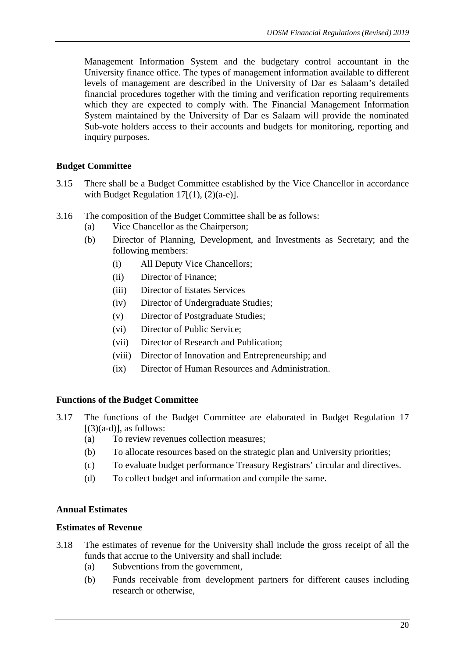Management Information System and the budgetary control accountant in the University finance office. The types of management information available to different levels of management are described in the University of Dar es Salaam's detailed financial procedures together with the timing and verification reporting requirements which they are expected to comply with. The Financial Management Information System maintained by the University of Dar es Salaam will provide the nominated Sub-vote holders access to their accounts and budgets for monitoring, reporting and inquiry purposes.

# **Budget Committee**

- 3.15 There shall be a Budget Committee established by the Vice Chancellor in accordance with Budget Regulation  $17[(1), (2)(a-e)]$ .
- 3.16 The composition of the Budget Committee shall be as follows:
	- (a) Vice Chancellor as the Chairperson;
	- (b) Director of Planning, Development, and Investments as Secretary; and the following members:
		- (i) All Deputy Vice Chancellors;
		- (ii) Director of Finance;
		- (iii) Director of Estates Services
		- (iv) Director of Undergraduate Studies;
		- (v) Director of Postgraduate Studies;
		- (vi) Director of Public Service;
		- (vii) Director of Research and Publication;
		- (viii) Director of Innovation and Entrepreneurship; and
		- (ix) Director of Human Resources and Administration.

# **Functions of the Budget Committee**

- 3.17 The functions of the Budget Committee are elaborated in Budget Regulation 17  $[(3)(a-d)]$ , as follows:
	- (a) To review revenues collection measures;
	- (b) To allocate resources based on the strategic plan and University priorities;
	- (c) To evaluate budget performance Treasury Registrars' circular and directives.
	- (d) To collect budget and information and compile the same.

#### **Annual Estimates**

#### **Estimates of Revenue**

- 3.18 The estimates of revenue for the University shall include the gross receipt of all the funds that accrue to the University and shall include:
	- (a) Subventions from the government,
	- (b) Funds receivable from development partners for different causes including research or otherwise,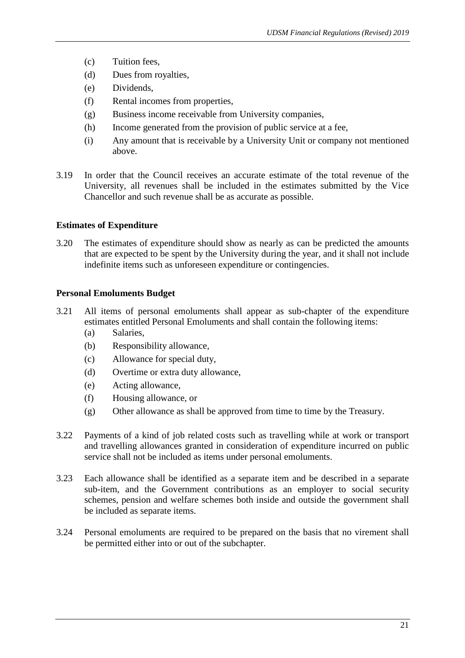- (c) Tuition fees,
- (d) Dues from royalties,
- (e) Dividends,
- (f) Rental incomes from properties,
- (g) Business income receivable from University companies,
- (h) Income generated from the provision of public service at a fee,
- (i) Any amount that is receivable by a University Unit or company not mentioned above.
- 3.19 In order that the Council receives an accurate estimate of the total revenue of the University, all revenues shall be included in the estimates submitted by the Vice Chancellor and such revenue shall be as accurate as possible.

# **Estimates of Expenditure**

3.20 The estimates of expenditure should show as nearly as can be predicted the amounts that are expected to be spent by the University during the year, and it shall not include indefinite items such as unforeseen expenditure or contingencies.

# **Personal Emoluments Budget**

- 3.21 All items of personal emoluments shall appear as sub-chapter of the expenditure estimates entitled Personal Emoluments and shall contain the following items:
	- (a) Salaries,
	- (b) Responsibility allowance,
	- (c) Allowance for special duty,
	- (d) Overtime or extra duty allowance,
	- (e) Acting allowance,
	- (f) Housing allowance, or
	- (g) Other allowance as shall be approved from time to time by the Treasury.
- 3.22 Payments of a kind of job related costs such as travelling while at work or transport and travelling allowances granted in consideration of expenditure incurred on public service shall not be included as items under personal emoluments.
- 3.23 Each allowance shall be identified as a separate item and be described in a separate sub-item, and the Government contributions as an employer to social security schemes, pension and welfare schemes both inside and outside the government shall be included as separate items.
- 3.24 Personal emoluments are required to be prepared on the basis that no virement shall be permitted either into or out of the subchapter.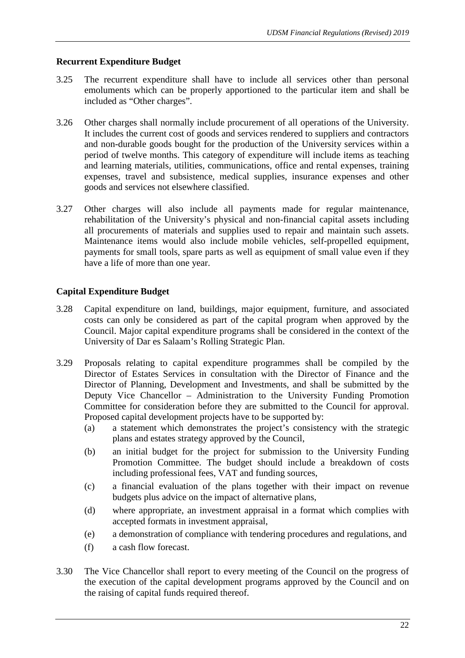# **Recurrent Expenditure Budget**

- 3.25 The recurrent expenditure shall have to include all services other than personal emoluments which can be properly apportioned to the particular item and shall be included as "Other charges".
- 3.26 Other charges shall normally include procurement of all operations of the University. It includes the current cost of goods and services rendered to suppliers and contractors and non-durable goods bought for the production of the University services within a period of twelve months. This category of expenditure will include items as teaching and learning materials, utilities, communications, office and rental expenses, training expenses, travel and subsistence, medical supplies, insurance expenses and other goods and services not elsewhere classified.
- 3.27 Other charges will also include all payments made for regular maintenance, rehabilitation of the University's physical and non-financial capital assets including all procurements of materials and supplies used to repair and maintain such assets. Maintenance items would also include mobile vehicles, self-propelled equipment, payments for small tools, spare parts as well as equipment of small value even if they have a life of more than one year.

# **Capital Expenditure Budget**

- 3.28 Capital expenditure on land, buildings, major equipment, furniture, and associated costs can only be considered as part of the capital program when approved by the Council. Major capital expenditure programs shall be considered in the context of the University of Dar es Salaam's Rolling Strategic Plan.
- 3.29 Proposals relating to capital expenditure programmes shall be compiled by the Director of Estates Services in consultation with the Director of Finance and the Director of Planning, Development and Investments, and shall be submitted by the Deputy Vice Chancellor – Administration to the University Funding Promotion Committee for consideration before they are submitted to the Council for approval. Proposed capital development projects have to be supported by:
	- (a) a statement which demonstrates the project's consistency with the strategic plans and estates strategy approved by the Council,
	- (b) an initial budget for the project for submission to the University Funding Promotion Committee. The budget should include a breakdown of costs including professional fees, VAT and funding sources,
	- (c) a financial evaluation of the plans together with their impact on revenue budgets plus advice on the impact of alternative plans,
	- (d) where appropriate, an investment appraisal in a format which complies with accepted formats in investment appraisal,
	- (e) a demonstration of compliance with tendering procedures and regulations, and
	- (f) a cash flow forecast.
- 3.30 The Vice Chancellor shall report to every meeting of the Council on the progress of the execution of the capital development programs approved by the Council and on the raising of capital funds required thereof.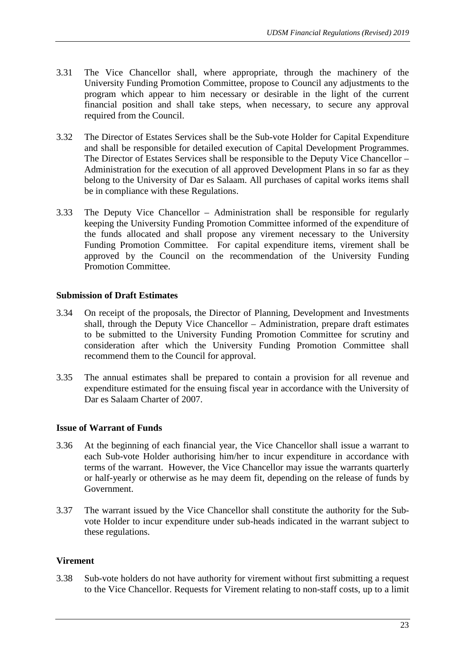- 3.31 The Vice Chancellor shall, where appropriate, through the machinery of the University Funding Promotion Committee, propose to Council any adjustments to the program which appear to him necessary or desirable in the light of the current financial position and shall take steps, when necessary, to secure any approval required from the Council.
- 3.32 The Director of Estates Services shall be the Sub-vote Holder for Capital Expenditure and shall be responsible for detailed execution of Capital Development Programmes. The Director of Estates Services shall be responsible to the Deputy Vice Chancellor – Administration for the execution of all approved Development Plans in so far as they belong to the University of Dar es Salaam. All purchases of capital works items shall be in compliance with these Regulations.
- 3.33 The Deputy Vice Chancellor Administration shall be responsible for regularly keeping the University Funding Promotion Committee informed of the expenditure of the funds allocated and shall propose any virement necessary to the University Funding Promotion Committee. For capital expenditure items, virement shall be approved by the Council on the recommendation of the University Funding Promotion Committee.

# **Submission of Draft Estimates**

- 3.34 On receipt of the proposals, the Director of Planning, Development and Investments shall, through the Deputy Vice Chancellor – Administration, prepare draft estimates to be submitted to the University Funding Promotion Committee for scrutiny and consideration after which the University Funding Promotion Committee shall recommend them to the Council for approval.
- 3.35 The annual estimates shall be prepared to contain a provision for all revenue and expenditure estimated for the ensuing fiscal year in accordance with the University of Dar es Salaam Charter of 2007.

# **Issue of Warrant of Funds**

- 3.36 At the beginning of each financial year, the Vice Chancellor shall issue a warrant to each Sub-vote Holder authorising him/her to incur expenditure in accordance with terms of the warrant. However, the Vice Chancellor may issue the warrants quarterly or half-yearly or otherwise as he may deem fit, depending on the release of funds by Government.
- 3.37 The warrant issued by the Vice Chancellor shall constitute the authority for the Subvote Holder to incur expenditure under sub-heads indicated in the warrant subject to these regulations.

# **Virement**

3.38 Sub-vote holders do not have authority for virement without first submitting a request to the Vice Chancellor. Requests for Virement relating to non-staff costs, up to a limit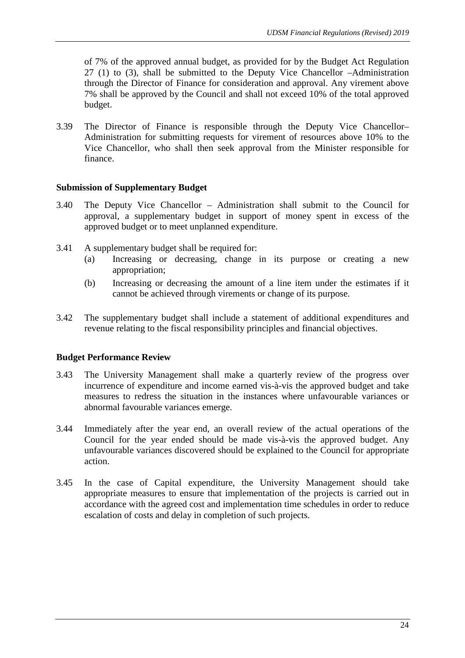of 7% of the approved annual budget, as provided for by the Budget Act Regulation 27 (1) to (3), shall be submitted to the Deputy Vice Chancellor –Administration through the Director of Finance for consideration and approval. Any virement above 7% shall be approved by the Council and shall not exceed 10% of the total approved budget.

3.39 The Director of Finance is responsible through the Deputy Vice Chancellor– Administration for submitting requests for virement of resources above 10% to the Vice Chancellor, who shall then seek approval from the Minister responsible for finance.

# **Submission of Supplementary Budget**

- 3.40 The Deputy Vice Chancellor Administration shall submit to the Council for approval, a supplementary budget in support of money spent in excess of the approved budget or to meet unplanned expenditure.
- 3.41 A supplementary budget shall be required for:
	- (a) Increasing or decreasing, change in its purpose or creating a new appropriation;
	- (b) Increasing or decreasing the amount of a line item under the estimates if it cannot be achieved through virements or change of its purpose.
- 3.42 The supplementary budget shall include a statement of additional expenditures and revenue relating to the fiscal responsibility principles and financial objectives.

# **Budget Performance Review**

- 3.43 The University Management shall make a quarterly review of the progress over incurrence of expenditure and income earned vis-à-vis the approved budget and take measures to redress the situation in the instances where unfavourable variances or abnormal favourable variances emerge.
- 3.44 Immediately after the year end, an overall review of the actual operations of the Council for the year ended should be made vis-à-vis the approved budget. Any unfavourable variances discovered should be explained to the Council for appropriate action.
- 3.45 In the case of Capital expenditure, the University Management should take appropriate measures to ensure that implementation of the projects is carried out in accordance with the agreed cost and implementation time schedules in order to reduce escalation of costs and delay in completion of such projects.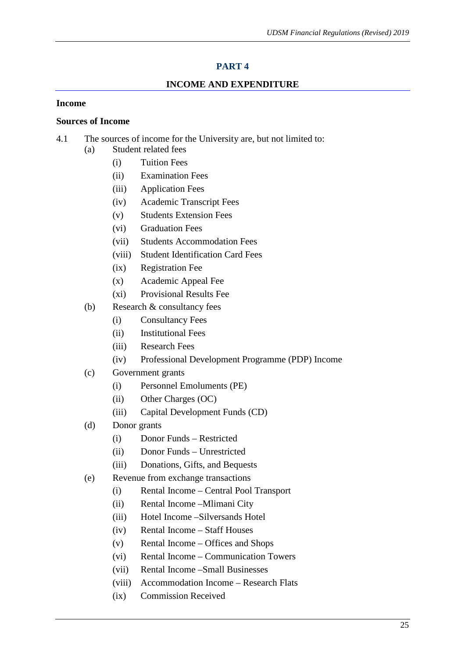# **PART 4**

# **INCOME AND EXPENDITURE**

## **Income**

#### **Sources of Income**

- 4.1 The sources of income for the University are, but not limited to: (a) Student related fees
	- (i) Tuition Fees
	- (ii) Examination Fees
	- (iii) Application Fees
	- (iv) Academic Transcript Fees
	- (v) Students Extension Fees
	- (vi) Graduation Fees
	- (vii) Students Accommodation Fees
	- (viii) Student Identification Card Fees
	- (ix) Registration Fee
	- (x) Academic Appeal Fee
	- (xi) Provisional Results Fee
	- (b) Research & consultancy fees
		- (i) Consultancy Fees
		- (ii) Institutional Fees
		- (iii) Research Fees
		- (iv) Professional Development Programme (PDP) Income
	- (c) Government grants
		- (i) Personnel Emoluments (PE)
		- (ii) Other Charges (OC)
		- (iii) Capital Development Funds (CD)
	- (d) Donor grants
		- (i) Donor Funds Restricted
		- (ii) Donor Funds Unrestricted
		- (iii) Donations, Gifts, and Bequests
	- (e) Revenue from exchange transactions
		- (i) Rental Income Central Pool Transport
		- (ii) Rental Income –Mlimani City
		- (iii) Hotel Income –Silversands Hotel
		- (iv) Rental Income Staff Houses
		- (v) Rental Income Offices and Shops
		- (vi) Rental Income Communication Towers
		- (vii) Rental Income –Small Businesses
		- (viii) Accommodation Income Research Flats
		- (ix) Commission Received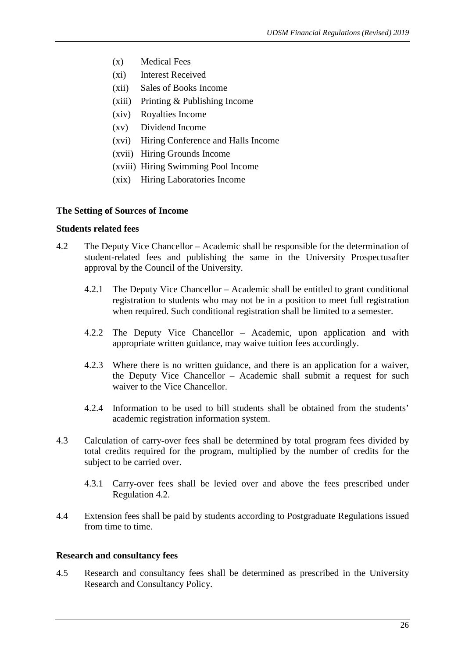- (x) Medical Fees
- (xi) Interest Received
- (xii) Sales of Books Income
- (xiii) Printing & Publishing Income
- (xiv) Royalties Income
- (xv) Dividend Income
- (xvi) Hiring Conference and Halls Income
- (xvii) Hiring Grounds Income
- (xviii) Hiring Swimming Pool Income
- (xix) Hiring Laboratories Income

#### **The Setting of Sources of Income**

#### **Students related fees**

- 4.2 The Deputy Vice Chancellor Academic shall be responsible for the determination of student-related fees and publishing the same in the University Prospectusafter approval by the Council of the University.
	- 4.2.1 The Deputy Vice Chancellor Academic shall be entitled to grant conditional registration to students who may not be in a position to meet full registration when required. Such conditional registration shall be limited to a semester.
	- 4.2.2 The Deputy Vice Chancellor Academic, upon application and with appropriate written guidance, may waive tuition fees accordingly.
	- 4.2.3 Where there is no written guidance, and there is an application for a waiver, the Deputy Vice Chancellor – Academic shall submit a request for such waiver to the Vice Chancellor.
	- 4.2.4 Information to be used to bill students shall be obtained from the students' academic registration information system.
- 4.3 Calculation of carry-over fees shall be determined by total program fees divided by total credits required for the program, multiplied by the number of credits for the subject to be carried over.
	- 4.3.1 Carry-over fees shall be levied over and above the fees prescribed under Regulation 4.2.
- 4.4 Extension fees shall be paid by students according to Postgraduate Regulations issued from time to time.

# **Research and consultancy fees**

4.5 Research and consultancy fees shall be determined as prescribed in the University Research and Consultancy Policy.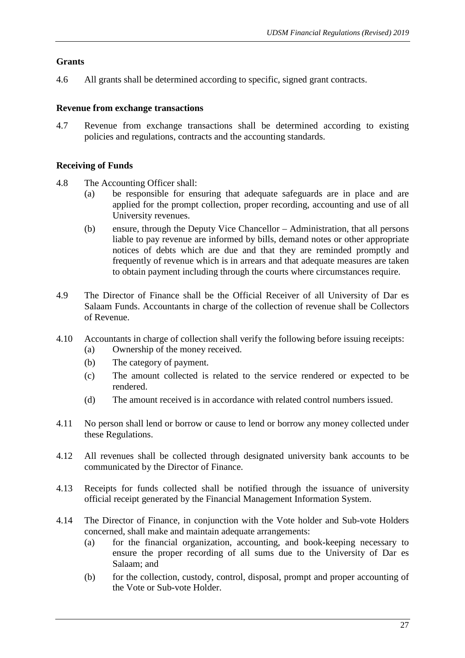# **Grants**

4.6 All grants shall be determined according to specific, signed grant contracts.

# **Revenue from exchange transactions**

4.7 Revenue from exchange transactions shall be determined according to existing policies and regulations, contracts and the accounting standards.

# **Receiving of Funds**

- 4.8 The Accounting Officer shall:
	- (a) be responsible for ensuring that adequate safeguards are in place and are applied for the prompt collection, proper recording, accounting and use of all University revenues.
	- (b) ensure, through the Deputy Vice Chancellor Administration, that all persons liable to pay revenue are informed by bills, demand notes or other appropriate notices of debts which are due and that they are reminded promptly and frequently of revenue which is in arrears and that adequate measures are taken to obtain payment including through the courts where circumstances require.
- 4.9 The Director of Finance shall be the Official Receiver of all University of Dar es Salaam Funds. Accountants in charge of the collection of revenue shall be Collectors of Revenue.
- 4.10 Accountants in charge of collection shall verify the following before issuing receipts:
	- (a) Ownership of the money received.
	- (b) The category of payment.
	- (c) The amount collected is related to the service rendered or expected to be rendered.
	- (d) The amount received is in accordance with related control numbers issued.
- 4.11 No person shall lend or borrow or cause to lend or borrow any money collected under these Regulations.
- 4.12 All revenues shall be collected through designated university bank accounts to be communicated by the Director of Finance.
- 4.13 Receipts for funds collected shall be notified through the issuance of university official receipt generated by the Financial Management Information System.
- 4.14 The Director of Finance, in conjunction with the Vote holder and Sub-vote Holders concerned, shall make and maintain adequate arrangements:
	- (a) for the financial organization, accounting, and book-keeping necessary to ensure the proper recording of all sums due to the University of Dar es Salaam; and
	- (b) for the collection, custody, control, disposal, prompt and proper accounting of the Vote or Sub-vote Holder.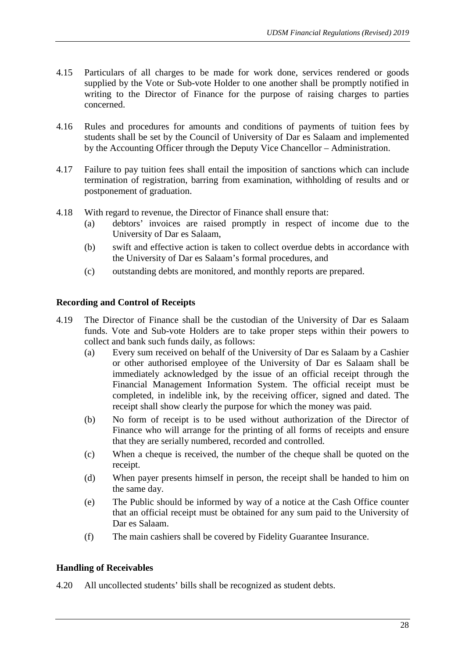- 4.15 Particulars of all charges to be made for work done, services rendered or goods supplied by the Vote or Sub-vote Holder to one another shall be promptly notified in writing to the Director of Finance for the purpose of raising charges to parties concerned.
- 4.16 Rules and procedures for amounts and conditions of payments of tuition fees by students shall be set by the Council of University of Dar es Salaam and implemented by the Accounting Officer through the Deputy Vice Chancellor – Administration.
- 4.17 Failure to pay tuition fees shall entail the imposition of sanctions which can include termination of registration, barring from examination, withholding of results and or postponement of graduation.
- 4.18 With regard to revenue, the Director of Finance shall ensure that:
	- (a) debtors' invoices are raised promptly in respect of income due to the University of Dar es Salaam,
	- (b) swift and effective action is taken to collect overdue debts in accordance with the University of Dar es Salaam's formal procedures, and
	- (c) outstanding debts are monitored, and monthly reports are prepared.

## **Recording and Control of Receipts**

- 4.19 The Director of Finance shall be the custodian of the University of Dar es Salaam funds. Vote and Sub-vote Holders are to take proper steps within their powers to collect and bank such funds daily, as follows:
	- (a) Every sum received on behalf of the University of Dar es Salaam by a Cashier or other authorised employee of the University of Dar es Salaam shall be immediately acknowledged by the issue of an official receipt through the Financial Management Information System. The official receipt must be completed, in indelible ink, by the receiving officer, signed and dated. The receipt shall show clearly the purpose for which the money was paid.
	- (b) No form of receipt is to be used without authorization of the Director of Finance who will arrange for the printing of all forms of receipts and ensure that they are serially numbered, recorded and controlled.
	- (c) When a cheque is received, the number of the cheque shall be quoted on the receipt.
	- (d) When payer presents himself in person, the receipt shall be handed to him on the same day.
	- (e) The Public should be informed by way of a notice at the Cash Office counter that an official receipt must be obtained for any sum paid to the University of Dar es Salaam.
	- (f) The main cashiers shall be covered by Fidelity Guarantee Insurance.

## **Handling of Receivables**

4.20 All uncollected students' bills shall be recognized as student debts.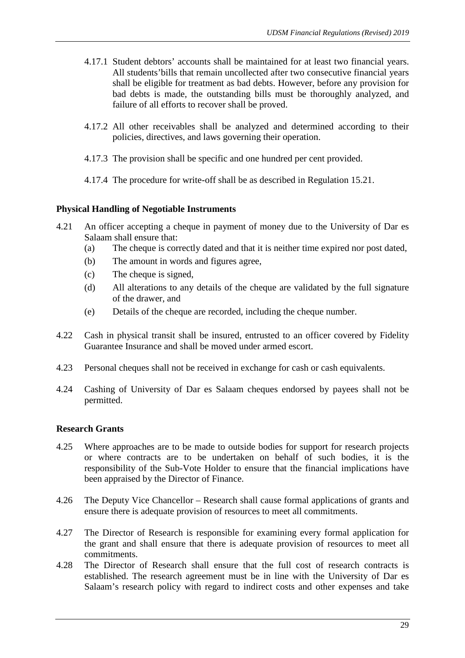- 4.17.1 Student debtors' accounts shall be maintained for at least two financial years. All students'bills that remain uncollected after two consecutive financial years shall be eligible for treatment as bad debts. However, before any provision for bad debts is made, the outstanding bills must be thoroughly analyzed, and failure of all efforts to recover shall be proved.
- 4.17.2 All other receivables shall be analyzed and determined according to their policies, directives, and laws governing their operation.
- 4.17.3 The provision shall be specific and one hundred per cent provided.
- 4.17.4 The procedure for write-off shall be as described in Regulation 15.21.

## **Physical Handling of Negotiable Instruments**

- 4.21 An officer accepting a cheque in payment of money due to the University of Dar es Salaam shall ensure that:
	- (a) The cheque is correctly dated and that it is neither time expired nor post dated,
	- (b) The amount in words and figures agree,
	- (c) The cheque is signed,
	- (d) All alterations to any details of the cheque are validated by the full signature of the drawer, and
	- (e) Details of the cheque are recorded, including the cheque number.
- 4.22 Cash in physical transit shall be insured, entrusted to an officer covered by Fidelity Guarantee Insurance and shall be moved under armed escort.
- 4.23 Personal cheques shall not be received in exchange for cash or cash equivalents.
- 4.24 Cashing of University of Dar es Salaam cheques endorsed by payees shall not be permitted.

## **Research Grants**

- 4.25 Where approaches are to be made to outside bodies for support for research projects or where contracts are to be undertaken on behalf of such bodies, it is the responsibility of the Sub-Vote Holder to ensure that the financial implications have been appraised by the Director of Finance.
- 4.26 The Deputy Vice Chancellor Research shall cause formal applications of grants and ensure there is adequate provision of resources to meet all commitments.
- 4.27 The Director of Research is responsible for examining every formal application for the grant and shall ensure that there is adequate provision of resources to meet all commitments.
- 4.28 The Director of Research shall ensure that the full cost of research contracts is established. The research agreement must be in line with the University of Dar es Salaam's research policy with regard to indirect costs and other expenses and take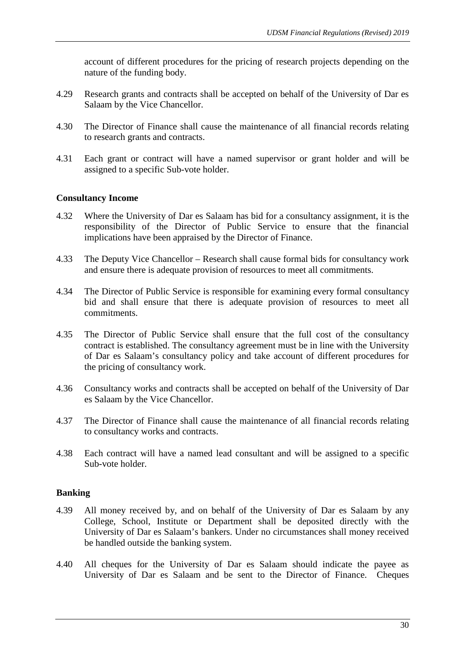account of different procedures for the pricing of research projects depending on the nature of the funding body.

- 4.29 Research grants and contracts shall be accepted on behalf of the University of Dar es Salaam by the Vice Chancellor.
- 4.30 The Director of Finance shall cause the maintenance of all financial records relating to research grants and contracts.
- 4.31 Each grant or contract will have a named supervisor or grant holder and will be assigned to a specific Sub-vote holder.

## **Consultancy Income**

- 4.32 Where the University of Dar es Salaam has bid for a consultancy assignment, it is the responsibility of the Director of Public Service to ensure that the financial implications have been appraised by the Director of Finance.
- 4.33 The Deputy Vice Chancellor Research shall cause formal bids for consultancy work and ensure there is adequate provision of resources to meet all commitments.
- 4.34 The Director of Public Service is responsible for examining every formal consultancy bid and shall ensure that there is adequate provision of resources to meet all commitments.
- 4.35 The Director of Public Service shall ensure that the full cost of the consultancy contract is established. The consultancy agreement must be in line with the University of Dar es Salaam's consultancy policy and take account of different procedures for the pricing of consultancy work.
- 4.36 Consultancy works and contracts shall be accepted on behalf of the University of Dar es Salaam by the Vice Chancellor.
- 4.37 The Director of Finance shall cause the maintenance of all financial records relating to consultancy works and contracts.
- 4.38 Each contract will have a named lead consultant and will be assigned to a specific Sub-vote holder.

## **Banking**

- 4.39 All money received by, and on behalf of the University of Dar es Salaam by any College, School, Institute or Department shall be deposited directly with the University of Dar es Salaam's bankers. Under no circumstances shall money received be handled outside the banking system.
- 4.40 All cheques for the University of Dar es Salaam should indicate the payee as University of Dar es Salaam and be sent to the Director of Finance. Cheques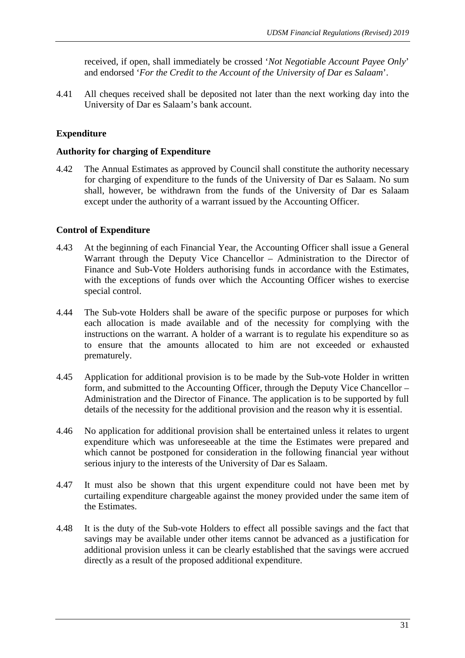received, if open, shall immediately be crossed '*Not Negotiable Account Payee Only*' and endorsed '*For the Credit to the Account of the University of Dar es Salaam*'.

4.41 All cheques received shall be deposited not later than the next working day into the University of Dar es Salaam's bank account.

# **Expenditure**

#### **Authority for charging of Expenditure**

4.42 The Annual Estimates as approved by Council shall constitute the authority necessary for charging of expenditure to the funds of the University of Dar es Salaam. No sum shall, however, be withdrawn from the funds of the University of Dar es Salaam except under the authority of a warrant issued by the Accounting Officer.

## **Control of Expenditure**

- 4.43 At the beginning of each Financial Year, the Accounting Officer shall issue a General Warrant through the Deputy Vice Chancellor – Administration to the Director of Finance and Sub-Vote Holders authorising funds in accordance with the Estimates, with the exceptions of funds over which the Accounting Officer wishes to exercise special control.
- 4.44 The Sub-vote Holders shall be aware of the specific purpose or purposes for which each allocation is made available and of the necessity for complying with the instructions on the warrant. A holder of a warrant is to regulate his expenditure so as to ensure that the amounts allocated to him are not exceeded or exhausted prematurely.
- 4.45 Application for additional provision is to be made by the Sub-vote Holder in written form, and submitted to the Accounting Officer, through the Deputy Vice Chancellor – Administration and the Director of Finance. The application is to be supported by full details of the necessity for the additional provision and the reason why it is essential.
- 4.46 No application for additional provision shall be entertained unless it relates to urgent expenditure which was unforeseeable at the time the Estimates were prepared and which cannot be postponed for consideration in the following financial year without serious injury to the interests of the University of Dar es Salaam.
- 4.47 It must also be shown that this urgent expenditure could not have been met by curtailing expenditure chargeable against the money provided under the same item of the Estimates.
- 4.48 It is the duty of the Sub-vote Holders to effect all possible savings and the fact that savings may be available under other items cannot be advanced as a justification for additional provision unless it can be clearly established that the savings were accrued directly as a result of the proposed additional expenditure.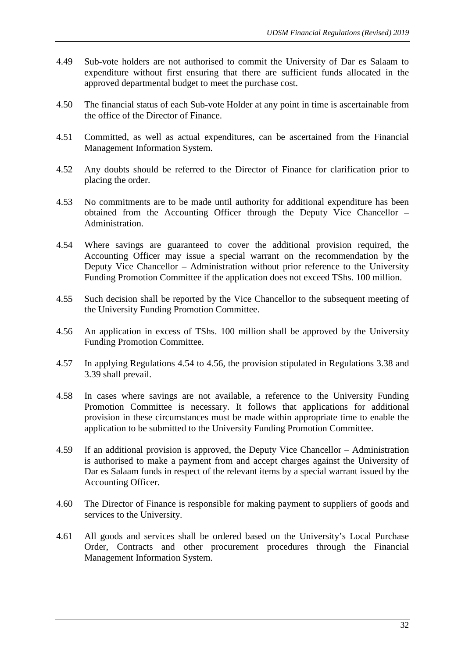- 4.49 Sub-vote holders are not authorised to commit the University of Dar es Salaam to expenditure without first ensuring that there are sufficient funds allocated in the approved departmental budget to meet the purchase cost.
- 4.50 The financial status of each Sub-vote Holder at any point in time is ascertainable from the office of the Director of Finance.
- 4.51 Committed, as well as actual expenditures, can be ascertained from the Financial Management Information System.
- 4.52 Any doubts should be referred to the Director of Finance for clarification prior to placing the order.
- 4.53 No commitments are to be made until authority for additional expenditure has been obtained from the Accounting Officer through the Deputy Vice Chancellor – Administration.
- 4.54 Where savings are guaranteed to cover the additional provision required, the Accounting Officer may issue a special warrant on the recommendation by the Deputy Vice Chancellor – Administration without prior reference to the University Funding Promotion Committee if the application does not exceed TShs. 100 million.
- 4.55 Such decision shall be reported by the Vice Chancellor to the subsequent meeting of the University Funding Promotion Committee.
- 4.56 An application in excess of TShs. 100 million shall be approved by the University Funding Promotion Committee.
- 4.57 In applying Regulations 4.54 to 4.56, the provision stipulated in Regulations 3.38 and 3.39 shall prevail.
- 4.58 In cases where savings are not available, a reference to the University Funding Promotion Committee is necessary. It follows that applications for additional provision in these circumstances must be made within appropriate time to enable the application to be submitted to the University Funding Promotion Committee.
- 4.59 If an additional provision is approved, the Deputy Vice Chancellor Administration is authorised to make a payment from and accept charges against the University of Dar es Salaam funds in respect of the relevant items by a special warrant issued by the Accounting Officer.
- 4.60 The Director of Finance is responsible for making payment to suppliers of goods and services to the University.
- 4.61 All goods and services shall be ordered based on the University's Local Purchase Order, Contracts and other procurement procedures through the Financial Management Information System.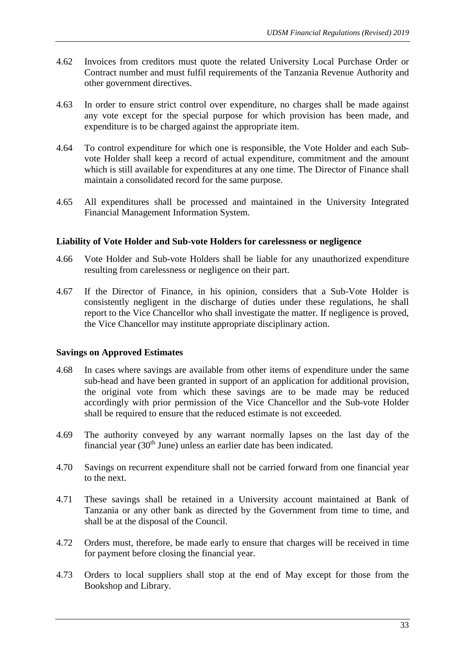- 4.62 Invoices from creditors must quote the related University Local Purchase Order or Contract number and must fulfil requirements of the Tanzania Revenue Authority and other government directives.
- 4.63 In order to ensure strict control over expenditure, no charges shall be made against any vote except for the special purpose for which provision has been made, and expenditure is to be charged against the appropriate item.
- 4.64 To control expenditure for which one is responsible, the Vote Holder and each Subvote Holder shall keep a record of actual expenditure, commitment and the amount which is still available for expenditures at any one time. The Director of Finance shall maintain a consolidated record for the same purpose.
- 4.65 All expenditures shall be processed and maintained in the University Integrated Financial Management Information System.

## **Liability of Vote Holder and Sub-vote Holders for carelessness or negligence**

- 4.66 Vote Holder and Sub-vote Holders shall be liable for any unauthorized expenditure resulting from carelessness or negligence on their part.
- 4.67 If the Director of Finance, in his opinion, considers that a Sub-Vote Holder is consistently negligent in the discharge of duties under these regulations, he shall report to the Vice Chancellor who shall investigate the matter. If negligence is proved, the Vice Chancellor may institute appropriate disciplinary action.

## **Savings on Approved Estimates**

- 4.68 In cases where savings are available from other items of expenditure under the same sub-head and have been granted in support of an application for additional provision, the original vote from which these savings are to be made may be reduced accordingly with prior permission of the Vice Chancellor and the Sub-vote Holder shall be required to ensure that the reduced estimate is not exceeded.
- 4.69 The authority conveyed by any warrant normally lapses on the last day of the financial year  $(30<sup>th</sup>$  June) unless an earlier date has been indicated.
- 4.70 Savings on recurrent expenditure shall not be carried forward from one financial year to the next.
- 4.71 These savings shall be retained in a University account maintained at Bank of Tanzania or any other bank as directed by the Government from time to time, and shall be at the disposal of the Council.
- 4.72 Orders must, therefore, be made early to ensure that charges will be received in time for payment before closing the financial year.
- 4.73 Orders to local suppliers shall stop at the end of May except for those from the Bookshop and Library.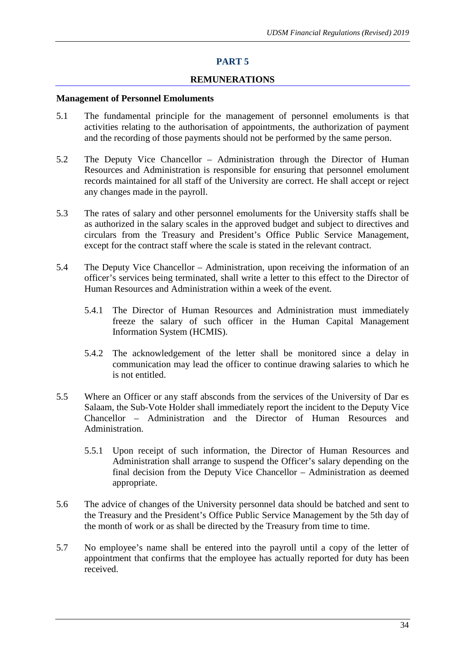#### **REMUNERATIONS**

#### **Management of Personnel Emoluments**

- 5.1 The fundamental principle for the management of personnel emoluments is that activities relating to the authorisation of appointments, the authorization of payment and the recording of those payments should not be performed by the same person.
- 5.2 The Deputy Vice Chancellor Administration through the Director of Human Resources and Administration is responsible for ensuring that personnel emolument records maintained for all staff of the University are correct. He shall accept or reject any changes made in the payroll.
- 5.3 The rates of salary and other personnel emoluments for the University staffs shall be as authorized in the salary scales in the approved budget and subject to directives and circulars from the Treasury and President's Office Public Service Management, except for the contract staff where the scale is stated in the relevant contract.
- 5.4 The Deputy Vice Chancellor Administration, upon receiving the information of an officer's services being terminated, shall write a letter to this effect to the Director of Human Resources and Administration within a week of the event.
	- 5.4.1 The Director of Human Resources and Administration must immediately freeze the salary of such officer in the Human Capital Management Information System (HCMIS).
	- 5.4.2 The acknowledgement of the letter shall be monitored since a delay in communication may lead the officer to continue drawing salaries to which he is not entitled.
- 5.5 Where an Officer or any staff absconds from the services of the University of Dar es Salaam, the Sub-Vote Holder shall immediately report the incident to the Deputy Vice Chancellor – Administration and the Director of Human Resources and Administration.
	- 5.5.1 Upon receipt of such information, the Director of Human Resources and Administration shall arrange to suspend the Officer's salary depending on the final decision from the Deputy Vice Chancellor – Administration as deemed appropriate.
- 5.6 The advice of changes of the University personnel data should be batched and sent to the Treasury and the President's Office Public Service Management by the 5th day of the month of work or as shall be directed by the Treasury from time to time.
- 5.7 No employee's name shall be entered into the payroll until a copy of the letter of appointment that confirms that the employee has actually reported for duty has been received.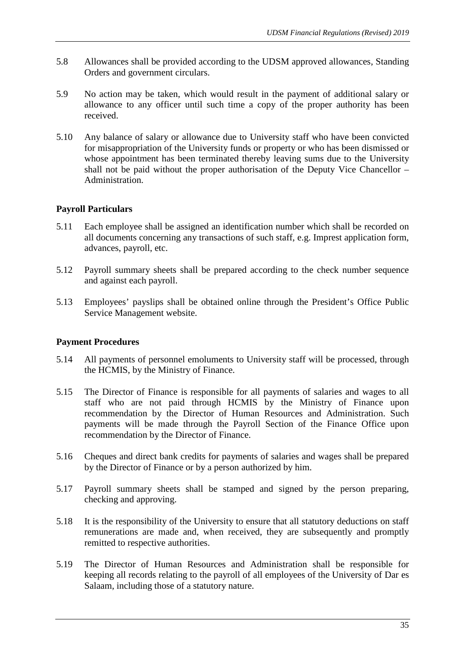- 5.8 Allowances shall be provided according to the UDSM approved allowances, Standing Orders and government circulars.
- 5.9 No action may be taken, which would result in the payment of additional salary or allowance to any officer until such time a copy of the proper authority has been received.
- 5.10 Any balance of salary or allowance due to University staff who have been convicted for misappropriation of the University funds or property or who has been dismissed or whose appointment has been terminated thereby leaving sums due to the University shall not be paid without the proper authorisation of the Deputy Vice Chancellor – Administration.

# **Payroll Particulars**

- 5.11 Each employee shall be assigned an identification number which shall be recorded on all documents concerning any transactions of such staff, e.g. Imprest application form, advances, payroll, etc.
- 5.12 Payroll summary sheets shall be prepared according to the check number sequence and against each payroll.
- 5.13 Employees' payslips shall be obtained online through the President's Office Public Service Management website.

# **Payment Procedures**

- 5.14 All payments of personnel emoluments to University staff will be processed, through the HCMIS, by the Ministry of Finance.
- 5.15 The Director of Finance is responsible for all payments of salaries and wages to all staff who are not paid through HCMIS by the Ministry of Finance upon recommendation by the Director of Human Resources and Administration. Such payments will be made through the Payroll Section of the Finance Office upon recommendation by the Director of Finance.
- 5.16 Cheques and direct bank credits for payments of salaries and wages shall be prepared by the Director of Finance or by a person authorized by him.
- 5.17 Payroll summary sheets shall be stamped and signed by the person preparing, checking and approving.
- 5.18 It is the responsibility of the University to ensure that all statutory deductions on staff remunerations are made and, when received, they are subsequently and promptly remitted to respective authorities.
- 5.19 The Director of Human Resources and Administration shall be responsible for keeping all records relating to the payroll of all employees of the University of Dar es Salaam, including those of a statutory nature.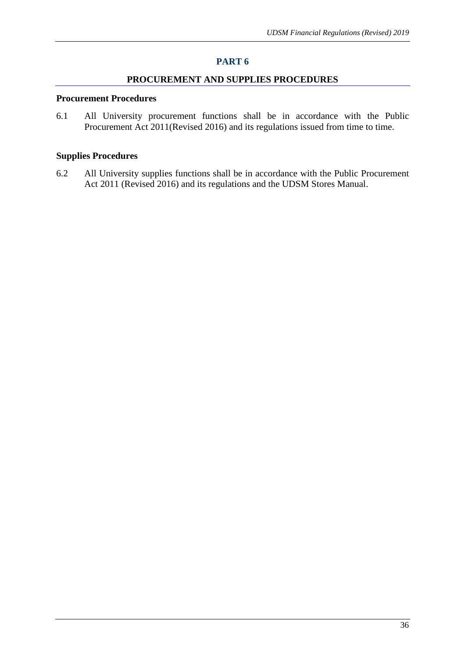#### **PROCUREMENT AND SUPPLIES PROCEDURES**

#### **Procurement Procedures**

6.1 All University procurement functions shall be in accordance with the Public Procurement Act 2011(Revised 2016) and its regulations issued from time to time.

# **Supplies Procedures**

6.2 All University supplies functions shall be in accordance with the Public Procurement Act 2011 (Revised 2016) and its regulations and the UDSM Stores Manual.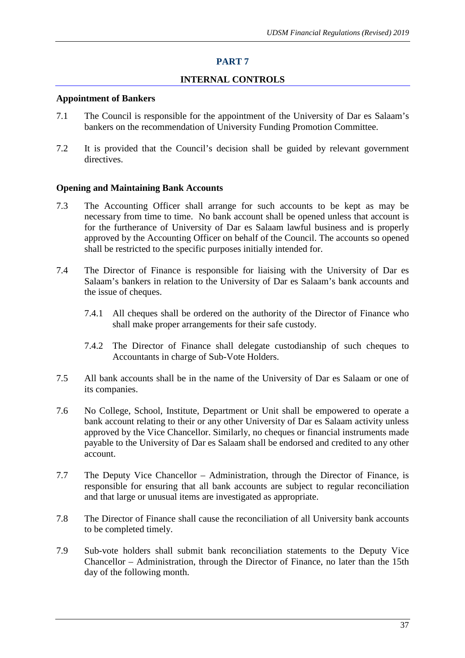#### **INTERNAL CONTROLS**

#### **Appointment of Bankers**

- 7.1 The Council is responsible for the appointment of the University of Dar es Salaam's bankers on the recommendation of University Funding Promotion Committee.
- 7.2 It is provided that the Council's decision shall be guided by relevant government directives.

#### **Opening and Maintaining Bank Accounts**

- 7.3 The Accounting Officer shall arrange for such accounts to be kept as may be necessary from time to time. No bank account shall be opened unless that account is for the furtherance of University of Dar es Salaam lawful business and is properly approved by the Accounting Officer on behalf of the Council. The accounts so opened shall be restricted to the specific purposes initially intended for.
- 7.4 The Director of Finance is responsible for liaising with the University of Dar es Salaam's bankers in relation to the University of Dar es Salaam's bank accounts and the issue of cheques.
	- 7.4.1 All cheques shall be ordered on the authority of the Director of Finance who shall make proper arrangements for their safe custody.
	- 7.4.2 The Director of Finance shall delegate custodianship of such cheques to Accountants in charge of Sub-Vote Holders.
- 7.5 All bank accounts shall be in the name of the University of Dar es Salaam or one of its companies.
- 7.6 No College, School, Institute, Department or Unit shall be empowered to operate a bank account relating to their or any other University of Dar es Salaam activity unless approved by the Vice Chancellor. Similarly, no cheques or financial instruments made payable to the University of Dar es Salaam shall be endorsed and credited to any other account.
- 7.7 The Deputy Vice Chancellor Administration, through the Director of Finance, is responsible for ensuring that all bank accounts are subject to regular reconciliation and that large or unusual items are investigated as appropriate.
- 7.8 The Director of Finance shall cause the reconciliation of all University bank accounts to be completed timely.
- 7.9 Sub-vote holders shall submit bank reconciliation statements to the Deputy Vice Chancellor – Administration, through the Director of Finance, no later than the 15th day of the following month.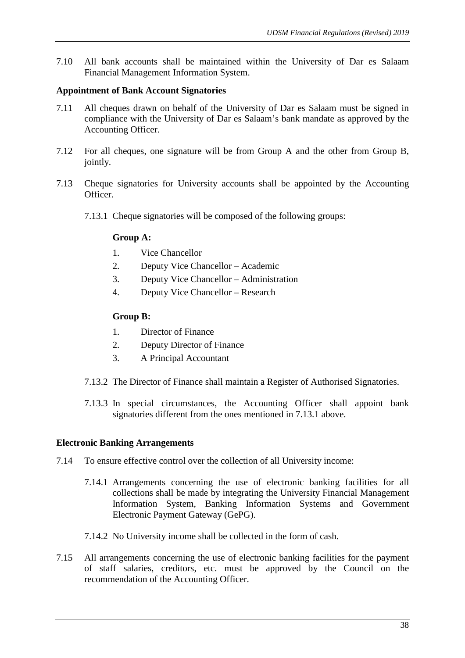7.10 All bank accounts shall be maintained within the University of Dar es Salaam Financial Management Information System.

## **Appointment of Bank Account Signatories**

- 7.11 All cheques drawn on behalf of the University of Dar es Salaam must be signed in compliance with the University of Dar es Salaam's bank mandate as approved by the Accounting Officer.
- 7.12 For all cheques, one signature will be from Group A and the other from Group B, jointly.
- 7.13 Cheque signatories for University accounts shall be appointed by the Accounting **Officer** 
	- 7.13.1 Cheque signatories will be composed of the following groups:

# **Group A:**

- 1. Vice Chancellor
- 2. Deputy Vice Chancellor Academic
- 3. Deputy Vice Chancellor Administration
- 4. Deputy Vice Chancellor Research

# **Group B:**

- 1. Director of Finance
- 2. Deputy Director of Finance
- 3. A Principal Accountant
- 7.13.2 The Director of Finance shall maintain a Register of Authorised Signatories.
- 7.13.3 In special circumstances, the Accounting Officer shall appoint bank signatories different from the ones mentioned in 7.13.1 above.

## **Electronic Banking Arrangements**

- 7.14 To ensure effective control over the collection of all University income:
	- 7.14.1 Arrangements concerning the use of electronic banking facilities for all collections shall be made by integrating the University Financial Management Information System, Banking Information Systems and Government Electronic Payment Gateway (GePG).
	- 7.14.2 No University income shall be collected in the form of cash.
- 7.15 All arrangements concerning the use of electronic banking facilities for the payment of staff salaries, creditors, etc. must be approved by the Council on the recommendation of the Accounting Officer.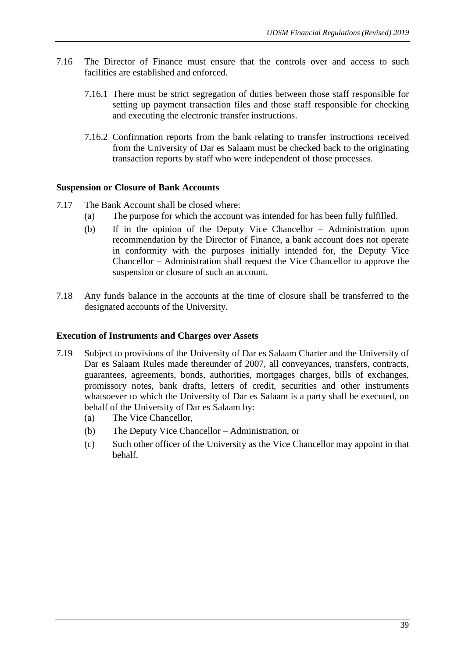- 7.16 The Director of Finance must ensure that the controls over and access to such facilities are established and enforced.
	- 7.16.1 There must be strict segregation of duties between those staff responsible for setting up payment transaction files and those staff responsible for checking and executing the electronic transfer instructions.
	- 7.16.2 Confirmation reports from the bank relating to transfer instructions received from the University of Dar es Salaam must be checked back to the originating transaction reports by staff who were independent of those processes.

## **Suspension or Closure of Bank Accounts**

- 7.17 The Bank Account shall be closed where:
	- (a) The purpose for which the account was intended for has been fully fulfilled.
	- (b) If in the opinion of the Deputy Vice Chancellor Administration upon recommendation by the Director of Finance, a bank account does not operate in conformity with the purposes initially intended for, the Deputy Vice Chancellor – Administration shall request the Vice Chancellor to approve the suspension or closure of such an account.
- 7.18 Any funds balance in the accounts at the time of closure shall be transferred to the designated accounts of the University.

#### **Execution of Instruments and Charges over Assets**

- 7.19 Subject to provisions of the University of Dar es Salaam Charter and the University of Dar es Salaam Rules made thereunder of 2007, all conveyances, transfers, contracts, guarantees, agreements, bonds, authorities, mortgages charges, bills of exchanges, promissory notes, bank drafts, letters of credit, securities and other instruments whatsoever to which the University of Dar es Salaam is a party shall be executed, on behalf of the University of Dar es Salaam by:
	- (a) The Vice Chancellor,
	- (b) The Deputy Vice Chancellor Administration, or
	- (c) Such other officer of the University as the Vice Chancellor may appoint in that behalf.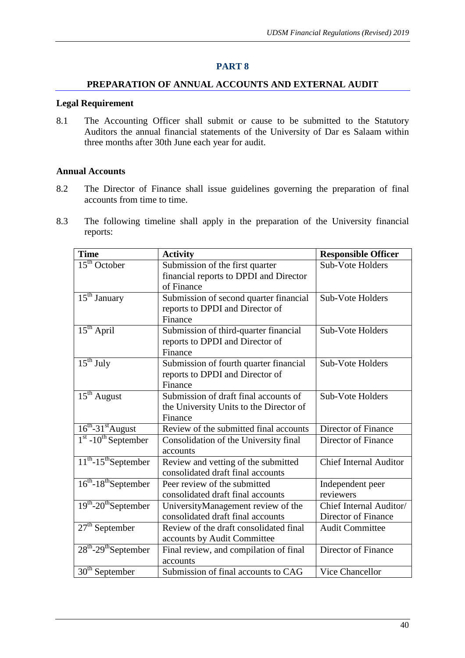#### **PREPARATION OF ANNUAL ACCOUNTS AND EXTERNAL AUDIT**

#### **Legal Requirement**

8.1 The Accounting Officer shall submit or cause to be submitted to the Statutory Auditors the annual financial statements of the University of Dar es Salaam within three months after 30th June each year for audit.

## **Annual Accounts**

- 8.2 The Director of Finance shall issue guidelines governing the preparation of final accounts from time to time.
- 8.3 The following timeline shall apply in the preparation of the University financial reports:

| <b>Time</b>                           | <b>Activity</b>                         | <b>Responsible Officer</b>    |
|---------------------------------------|-----------------------------------------|-------------------------------|
| $15th$ October                        | Submission of the first quarter         | Sub-Vote Holders              |
|                                       | financial reports to DPDI and Director  |                               |
|                                       | of Finance                              |                               |
| $\overline{15^{th}}$ January          | Submission of second quarter financial  | Sub-Vote Holders              |
|                                       | reports to DPDI and Director of         |                               |
|                                       | Finance                                 |                               |
| $15th$ April                          | Submission of third-quarter financial   | <b>Sub-Vote Holders</b>       |
|                                       | reports to DPDI and Director of         |                               |
|                                       | Finance                                 |                               |
| $\overline{15^{th}}$ July             | Submission of fourth quarter financial  | <b>Sub-Vote Holders</b>       |
|                                       | reports to DPDI and Director of         |                               |
|                                       | Finance                                 |                               |
| $15th$ August                         | Submission of draft final accounts of   | Sub-Vote Holders              |
|                                       | the University Units to the Director of |                               |
|                                       | Finance                                 |                               |
| $16^{th}$ -31 <sup>st</sup> August    | Review of the submitted final accounts  | Director of Finance           |
| $1st - 10th$ September                | Consolidation of the University final   | Director of Finance           |
|                                       | accounts                                |                               |
| $11^{th}$ -15 <sup>th</sup> September | Review and vetting of the submitted     | <b>Chief Internal Auditor</b> |
|                                       | consolidated draft final accounts       |                               |
| $16^{th}$ -18 <sup>th</sup> September | Peer review of the submitted            | Independent peer              |
|                                       | consolidated draft final accounts       | reviewers                     |
| $19th - 20th$ September               | UniversityManagement review of the      | Chief Internal Auditor/       |
|                                       | consolidated draft final accounts       | Director of Finance           |
| $27th$ September                      | Review of the draft consolidated final  | <b>Audit Committee</b>        |
|                                       | accounts by Audit Committee             |                               |
| $28th - 29th$ September               | Final review, and compilation of final  | Director of Finance           |
|                                       | accounts                                |                               |
| $30th$ September                      | Submission of final accounts to CAG     | <b>Vice Chancellor</b>        |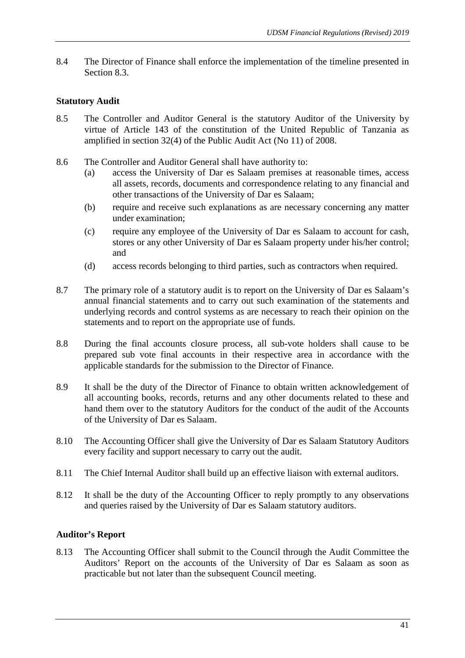8.4 The Director of Finance shall enforce the implementation of the timeline presented in Section 8.3.

# **Statutory Audit**

- 8.5 The Controller and Auditor General is the statutory Auditor of the University by virtue of Article 143 of the constitution of the United Republic of Tanzania as amplified in section 32(4) of the Public Audit Act (No 11) of 2008.
- 8.6 The Controller and Auditor General shall have authority to:
	- (a) access the University of Dar es Salaam premises at reasonable times, access all assets, records, documents and correspondence relating to any financial and other transactions of the University of Dar es Salaam;
	- (b) require and receive such explanations as are necessary concerning any matter under examination;
	- (c) require any employee of the University of Dar es Salaam to account for cash, stores or any other University of Dar es Salaam property under his/her control; and
	- (d) access records belonging to third parties, such as contractors when required.
- 8.7 The primary role of a statutory audit is to report on the University of Dar es Salaam's annual financial statements and to carry out such examination of the statements and underlying records and control systems as are necessary to reach their opinion on the statements and to report on the appropriate use of funds.
- 8.8 During the final accounts closure process, all sub-vote holders shall cause to be prepared sub vote final accounts in their respective area in accordance with the applicable standards for the submission to the Director of Finance.
- 8.9 It shall be the duty of the Director of Finance to obtain written acknowledgement of all accounting books, records, returns and any other documents related to these and hand them over to the statutory Auditors for the conduct of the audit of the Accounts of the University of Dar es Salaam.
- 8.10 The Accounting Officer shall give the University of Dar es Salaam Statutory Auditors every facility and support necessary to carry out the audit.
- 8.11 The Chief Internal Auditor shall build up an effective liaison with external auditors.
- 8.12 It shall be the duty of the Accounting Officer to reply promptly to any observations and queries raised by the University of Dar es Salaam statutory auditors.

# **Auditor's Report**

8.13 The Accounting Officer shall submit to the Council through the Audit Committee the Auditors' Report on the accounts of the University of Dar es Salaam as soon as practicable but not later than the subsequent Council meeting.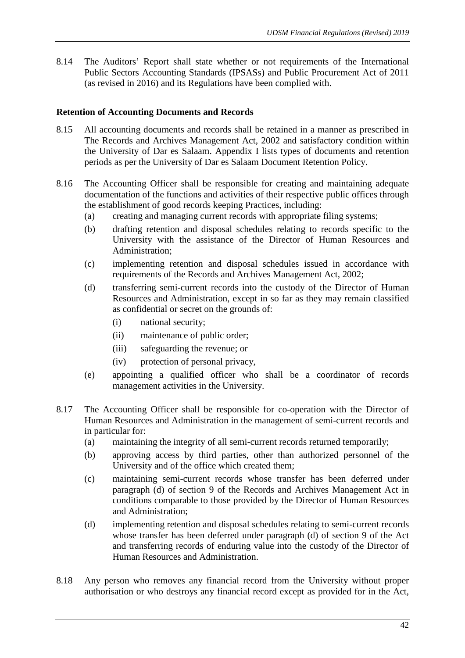8.14 The Auditors' Report shall state whether or not requirements of the International Public Sectors Accounting Standards (IPSASs) and Public Procurement Act of 2011 (as revised in 2016) and its Regulations have been complied with.

## **Retention of Accounting Documents and Records**

- 8.15 All accounting documents and records shall be retained in a manner as prescribed in The Records and Archives Management Act, 2002 and satisfactory condition within the University of Dar es Salaam. Appendix I lists types of documents and retention periods as per the University of Dar es Salaam Document Retention Policy.
- 8.16 The Accounting Officer shall be responsible for creating and maintaining adequate documentation of the functions and activities of their respective public offices through the establishment of good records keeping Practices, including:
	- (a) creating and managing current records with appropriate filing systems;
	- (b) drafting retention and disposal schedules relating to records specific to the University with the assistance of the Director of Human Resources and Administration;
	- (c) implementing retention and disposal schedules issued in accordance with requirements of the Records and Archives Management Act, 2002;
	- (d) transferring semi-current records into the custody of the Director of Human Resources and Administration, except in so far as they may remain classified as confidential or secret on the grounds of:
		- (i) national security;
		- (ii) maintenance of public order;
		- (iii) safeguarding the revenue; or
		- (iv) protection of personal privacy,
	- (e) appointing a qualified officer who shall be a coordinator of records management activities in the University.
- 8.17 The Accounting Officer shall be responsible for co-operation with the Director of Human Resources and Administration in the management of semi-current records and in particular for:
	- (a) maintaining the integrity of all semi-current records returned temporarily;
	- (b) approving access by third parties, other than authorized personnel of the University and of the office which created them;
	- (c) maintaining semi-current records whose transfer has been deferred under paragraph (d) of section 9 of the Records and Archives Management Act in conditions comparable to those provided by the Director of Human Resources and Administration;
	- (d) implementing retention and disposal schedules relating to semi-current records whose transfer has been deferred under paragraph (d) of section 9 of the Act and transferring records of enduring value into the custody of the Director of Human Resources and Administration.
- 8.18 Any person who removes any financial record from the University without proper authorisation or who destroys any financial record except as provided for in the Act,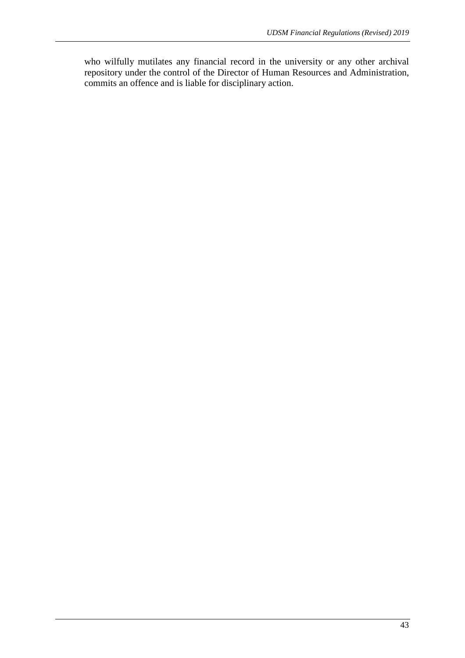who wilfully mutilates any financial record in the university or any other archival repository under the control of the Director of Human Resources and Administration, commits an offence and is liable for disciplinary action.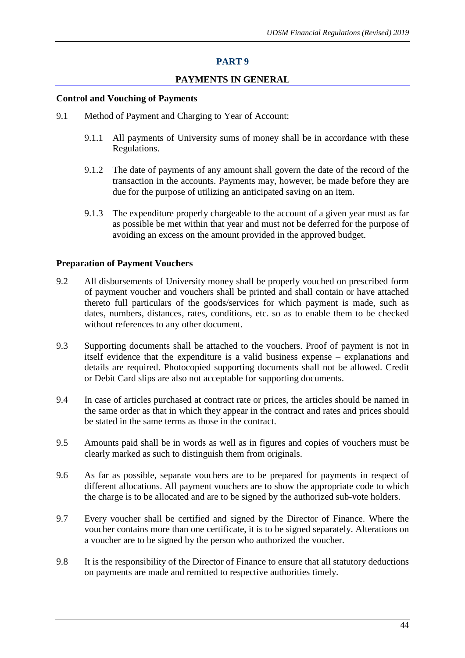# **PAYMENTS IN GENERAL**

#### **Control and Vouching of Payments**

- 9.1 Method of Payment and Charging to Year of Account:
	- 9.1.1 All payments of University sums of money shall be in accordance with these Regulations.
	- 9.1.2 The date of payments of any amount shall govern the date of the record of the transaction in the accounts. Payments may, however, be made before they are due for the purpose of utilizing an anticipated saving on an item.
	- 9.1.3 The expenditure properly chargeable to the account of a given year must as far as possible be met within that year and must not be deferred for the purpose of avoiding an excess on the amount provided in the approved budget.

## **Preparation of Payment Vouchers**

- 9.2 All disbursements of University money shall be properly vouched on prescribed form of payment voucher and vouchers shall be printed and shall contain or have attached thereto full particulars of the goods/services for which payment is made, such as dates, numbers, distances, rates, conditions, etc. so as to enable them to be checked without references to any other document.
- 9.3 Supporting documents shall be attached to the vouchers. Proof of payment is not in itself evidence that the expenditure is a valid business expense – explanations and details are required. Photocopied supporting documents shall not be allowed. Credit or Debit Card slips are also not acceptable for supporting documents.
- 9.4 In case of articles purchased at contract rate or prices, the articles should be named in the same order as that in which they appear in the contract and rates and prices should be stated in the same terms as those in the contract.
- 9.5 Amounts paid shall be in words as well as in figures and copies of vouchers must be clearly marked as such to distinguish them from originals.
- 9.6 As far as possible, separate vouchers are to be prepared for payments in respect of different allocations. All payment vouchers are to show the appropriate code to which the charge is to be allocated and are to be signed by the authorized sub-vote holders.
- 9.7 Every voucher shall be certified and signed by the Director of Finance. Where the voucher contains more than one certificate, it is to be signed separately. Alterations on a voucher are to be signed by the person who authorized the voucher.
- 9.8 It is the responsibility of the Director of Finance to ensure that all statutory deductions on payments are made and remitted to respective authorities timely.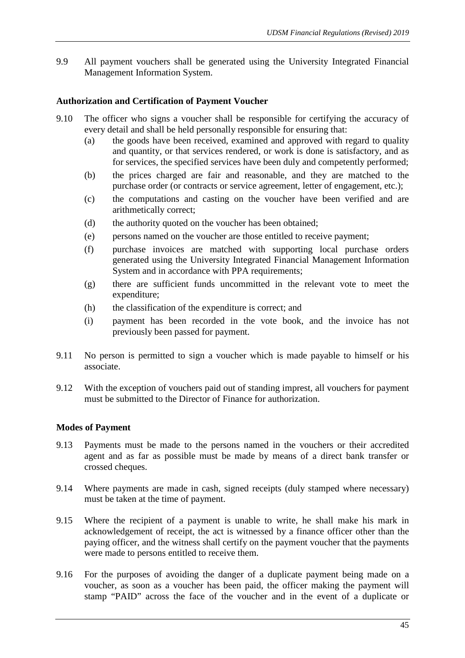9.9 All payment vouchers shall be generated using the University Integrated Financial Management Information System.

# **Authorization and Certification of Payment Voucher**

- 9.10 The officer who signs a voucher shall be responsible for certifying the accuracy of every detail and shall be held personally responsible for ensuring that:
	- (a) the goods have been received, examined and approved with regard to quality and quantity, or that services rendered, or work is done is satisfactory, and as for services, the specified services have been duly and competently performed;
	- (b) the prices charged are fair and reasonable, and they are matched to the purchase order (or contracts or service agreement, letter of engagement, etc.);
	- (c) the computations and casting on the voucher have been verified and are arithmetically correct;
	- (d) the authority quoted on the voucher has been obtained;
	- (e) persons named on the voucher are those entitled to receive payment;
	- (f) purchase invoices are matched with supporting local purchase orders generated using the University Integrated Financial Management Information System and in accordance with PPA requirements;
	- (g) there are sufficient funds uncommitted in the relevant vote to meet the expenditure;
	- (h) the classification of the expenditure is correct; and
	- (i) payment has been recorded in the vote book, and the invoice has not previously been passed for payment.
- 9.11 No person is permitted to sign a voucher which is made payable to himself or his associate.
- 9.12 With the exception of vouchers paid out of standing imprest, all vouchers for payment must be submitted to the Director of Finance for authorization.

## **Modes of Payment**

- 9.13 Payments must be made to the persons named in the vouchers or their accredited agent and as far as possible must be made by means of a direct bank transfer or crossed cheques.
- 9.14 Where payments are made in cash, signed receipts (duly stamped where necessary) must be taken at the time of payment.
- 9.15 Where the recipient of a payment is unable to write, he shall make his mark in acknowledgement of receipt, the act is witnessed by a finance officer other than the paying officer, and the witness shall certify on the payment voucher that the payments were made to persons entitled to receive them.
- 9.16 For the purposes of avoiding the danger of a duplicate payment being made on a voucher, as soon as a voucher has been paid, the officer making the payment will stamp "PAID" across the face of the voucher and in the event of a duplicate or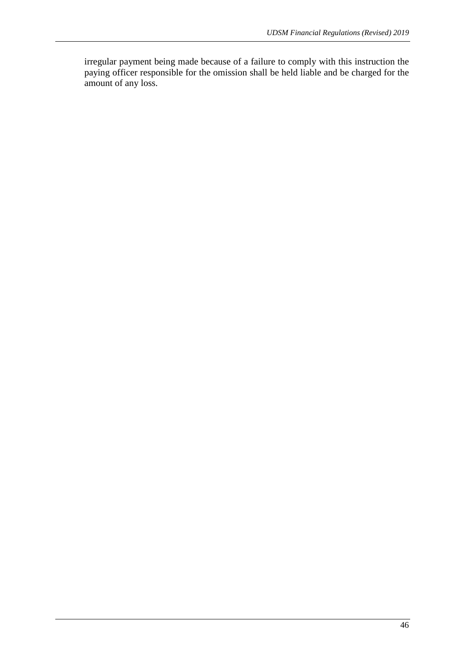irregular payment being made because of a failure to comply with this instruction the paying officer responsible for the omission shall be held liable and be charged for the amount of any loss.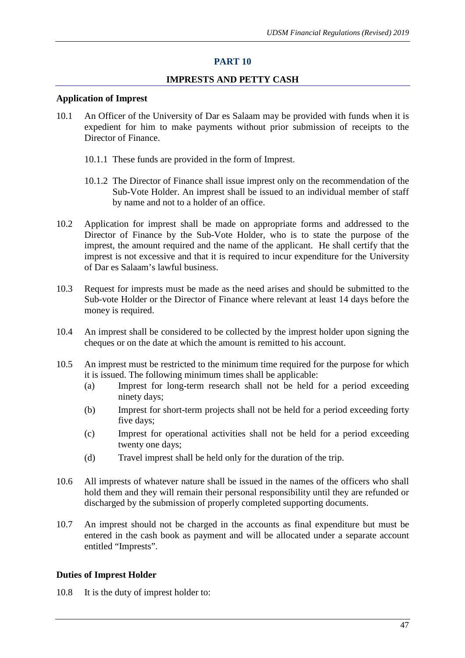## **IMPRESTS AND PETTY CASH**

#### **Application of Imprest**

- 10.1 An Officer of the University of Dar es Salaam may be provided with funds when it is expedient for him to make payments without prior submission of receipts to the Director of Finance.
	- 10.1.1 These funds are provided in the form of Imprest.
	- 10.1.2 The Director of Finance shall issue imprest only on the recommendation of the Sub-Vote Holder. An imprest shall be issued to an individual member of staff by name and not to a holder of an office.
- 10.2 Application for imprest shall be made on appropriate forms and addressed to the Director of Finance by the Sub-Vote Holder, who is to state the purpose of the imprest, the amount required and the name of the applicant. He shall certify that the imprest is not excessive and that it is required to incur expenditure for the University of Dar es Salaam's lawful business.
- 10.3 Request for imprests must be made as the need arises and should be submitted to the Sub-vote Holder or the Director of Finance where relevant at least 14 days before the money is required.
- 10.4 An imprest shall be considered to be collected by the imprest holder upon signing the cheques or on the date at which the amount is remitted to his account.
- 10.5 An imprest must be restricted to the minimum time required for the purpose for which it is issued. The following minimum times shall be applicable:
	- (a) Imprest for long-term research shall not be held for a period exceeding ninety days;
	- (b) Imprest for short-term projects shall not be held for a period exceeding forty five days;
	- (c) Imprest for operational activities shall not be held for a period exceeding twenty one days;
	- (d) Travel imprest shall be held only for the duration of the trip.
- 10.6 All imprests of whatever nature shall be issued in the names of the officers who shall hold them and they will remain their personal responsibility until they are refunded or discharged by the submission of properly completed supporting documents.
- 10.7 An imprest should not be charged in the accounts as final expenditure but must be entered in the cash book as payment and will be allocated under a separate account entitled "Imprests".

#### **Duties of Imprest Holder**

10.8 It is the duty of imprest holder to: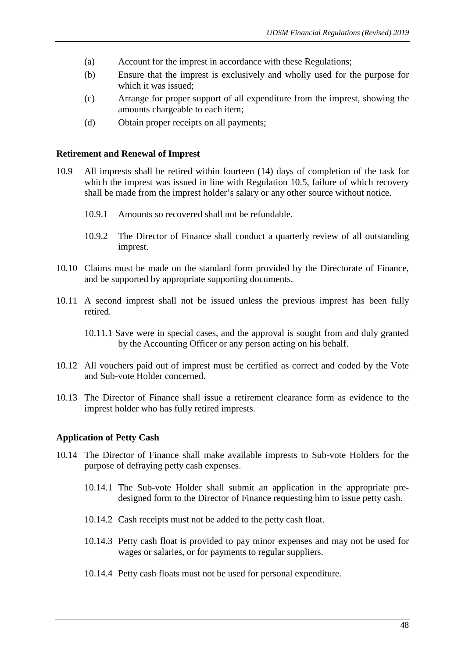- (a) Account for the imprest in accordance with these Regulations;
- (b) Ensure that the imprest is exclusively and wholly used for the purpose for which it was issued;
- (c) Arrange for proper support of all expenditure from the imprest, showing the amounts chargeable to each item;
- (d) Obtain proper receipts on all payments;

#### **Retirement and Renewal of Imprest**

- 10.9 All imprests shall be retired within fourteen (14) days of completion of the task for which the imprest was issued in line with Regulation 10.5, failure of which recovery shall be made from the imprest holder's salary or any other source without notice.
	- 10.9.1 Amounts so recovered shall not be refundable.
	- 10.9.2 The Director of Finance shall conduct a quarterly review of all outstanding imprest.
- 10.10 Claims must be made on the standard form provided by the Directorate of Finance, and be supported by appropriate supporting documents.
- 10.11 A second imprest shall not be issued unless the previous imprest has been fully retired.
	- 10.11.1 Save were in special cases, and the approval is sought from and duly granted by the Accounting Officer or any person acting on his behalf.
- 10.12 All vouchers paid out of imprest must be certified as correct and coded by the Vote and Sub-vote Holder concerned.
- 10.13 The Director of Finance shall issue a retirement clearance form as evidence to the imprest holder who has fully retired imprests.

## **Application of Petty Cash**

- 10.14 The Director of Finance shall make available imprests to Sub-vote Holders for the purpose of defraying petty cash expenses.
	- 10.14.1 The Sub-vote Holder shall submit an application in the appropriate predesigned form to the Director of Finance requesting him to issue petty cash.
	- 10.14.2 Cash receipts must not be added to the petty cash float.
	- 10.14.3 Petty cash float is provided to pay minor expenses and may not be used for wages or salaries, or for payments to regular suppliers.
	- 10.14.4 Petty cash floats must not be used for personal expenditure.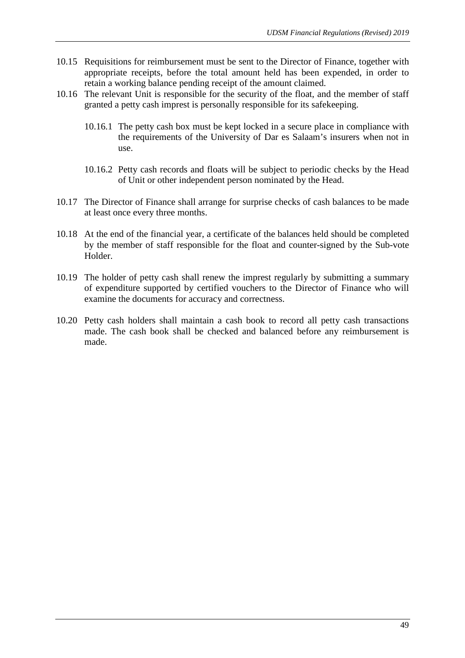- 10.15 Requisitions for reimbursement must be sent to the Director of Finance, together with appropriate receipts, before the total amount held has been expended, in order to retain a working balance pending receipt of the amount claimed.
- 10.16 The relevant Unit is responsible for the security of the float, and the member of staff granted a petty cash imprest is personally responsible for its safekeeping.
	- 10.16.1 The petty cash box must be kept locked in a secure place in compliance with the requirements of the University of Dar es Salaam's insurers when not in use.
	- 10.16.2 Petty cash records and floats will be subject to periodic checks by the Head of Unit or other independent person nominated by the Head.
- 10.17 The Director of Finance shall arrange for surprise checks of cash balances to be made at least once every three months.
- 10.18 At the end of the financial year, a certificate of the balances held should be completed by the member of staff responsible for the float and counter-signed by the Sub-vote Holder.
- 10.19 The holder of petty cash shall renew the imprest regularly by submitting a summary of expenditure supported by certified vouchers to the Director of Finance who will examine the documents for accuracy and correctness.
- 10.20 Petty cash holders shall maintain a cash book to record all petty cash transactions made. The cash book shall be checked and balanced before any reimbursement is made.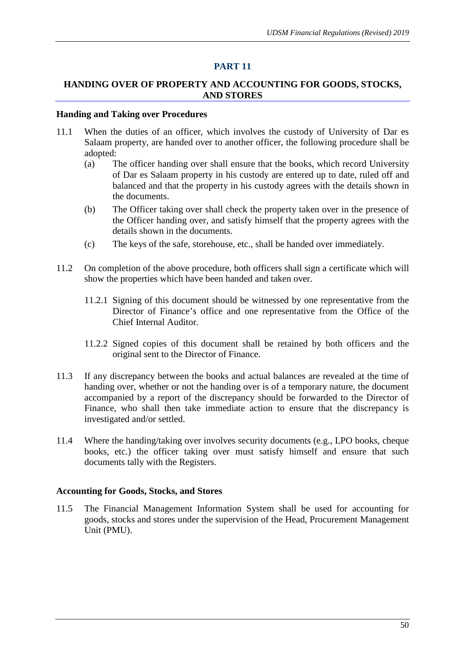## **HANDING OVER OF PROPERTY AND ACCOUNTING FOR GOODS, STOCKS, AND STORES**

#### **Handing and Taking over Procedures**

- 11.1 When the duties of an officer, which involves the custody of University of Dar es Salaam property, are handed over to another officer, the following procedure shall be adopted:
	- (a) The officer handing over shall ensure that the books, which record University of Dar es Salaam property in his custody are entered up to date, ruled off and balanced and that the property in his custody agrees with the details shown in the documents.
	- (b) The Officer taking over shall check the property taken over in the presence of the Officer handing over, and satisfy himself that the property agrees with the details shown in the documents.
	- (c) The keys of the safe, storehouse, etc., shall be handed over immediately.
- 11.2 On completion of the above procedure, both officers shall sign a certificate which will show the properties which have been handed and taken over.
	- 11.2.1 Signing of this document should be witnessed by one representative from the Director of Finance's office and one representative from the Office of the Chief Internal Auditor.
	- 11.2.2 Signed copies of this document shall be retained by both officers and the original sent to the Director of Finance.
- 11.3 If any discrepancy between the books and actual balances are revealed at the time of handing over, whether or not the handing over is of a temporary nature, the document accompanied by a report of the discrepancy should be forwarded to the Director of Finance, who shall then take immediate action to ensure that the discrepancy is investigated and/or settled.
- 11.4 Where the handing/taking over involves security documents (e.g., LPO books, cheque books, etc.) the officer taking over must satisfy himself and ensure that such documents tally with the Registers.

#### **Accounting for Goods, Stocks, and Stores**

11.5 The Financial Management Information System shall be used for accounting for goods, stocks and stores under the supervision of the Head, Procurement Management Unit (PMU).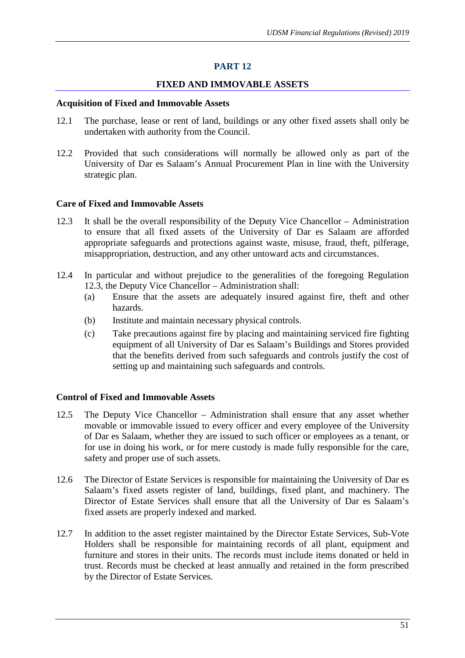# **FIXED AND IMMOVABLE ASSETS**

#### **Acquisition of Fixed and Immovable Assets**

- 12.1 The purchase, lease or rent of land, buildings or any other fixed assets shall only be undertaken with authority from the Council.
- 12.2 Provided that such considerations will normally be allowed only as part of the University of Dar es Salaam's Annual Procurement Plan in line with the University strategic plan.

#### **Care of Fixed and Immovable Assets**

- 12.3 It shall be the overall responsibility of the Deputy Vice Chancellor Administration to ensure that all fixed assets of the University of Dar es Salaam are afforded appropriate safeguards and protections against waste, misuse, fraud, theft, pilferage, misappropriation, destruction, and any other untoward acts and circumstances.
- 12.4 In particular and without prejudice to the generalities of the foregoing Regulation 12.3, the Deputy Vice Chancellor – Administration shall:
	- (a) Ensure that the assets are adequately insured against fire, theft and other hazards.
	- (b) Institute and maintain necessary physical controls.
	- (c) Take precautions against fire by placing and maintaining serviced fire fighting equipment of all University of Dar es Salaam's Buildings and Stores provided that the benefits derived from such safeguards and controls justify the cost of setting up and maintaining such safeguards and controls.

## **Control of Fixed and Immovable Assets**

- 12.5 The Deputy Vice Chancellor Administration shall ensure that any asset whether movable or immovable issued to every officer and every employee of the University of Dar es Salaam, whether they are issued to such officer or employees as a tenant, or for use in doing his work, or for mere custody is made fully responsible for the care, safety and proper use of such assets.
- 12.6 The Director of Estate Services is responsible for maintaining the University of Dar es Salaam's fixed assets register of land, buildings, fixed plant, and machinery. The Director of Estate Services shall ensure that all the University of Dar es Salaam's fixed assets are properly indexed and marked.
- 12.7 In addition to the asset register maintained by the Director Estate Services, Sub-Vote Holders shall be responsible for maintaining records of all plant, equipment and furniture and stores in their units. The records must include items donated or held in trust. Records must be checked at least annually and retained in the form prescribed by the Director of Estate Services.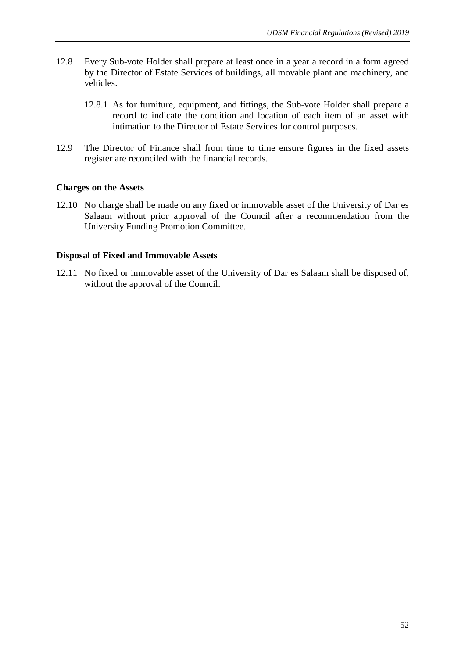- 12.8 Every Sub-vote Holder shall prepare at least once in a year a record in a form agreed by the Director of Estate Services of buildings, all movable plant and machinery, and vehicles.
	- 12.8.1 As for furniture, equipment, and fittings, the Sub-vote Holder shall prepare a record to indicate the condition and location of each item of an asset with intimation to the Director of Estate Services for control purposes.
- 12.9 The Director of Finance shall from time to time ensure figures in the fixed assets register are reconciled with the financial records.

## **Charges on the Assets**

12.10 No charge shall be made on any fixed or immovable asset of the University of Dar es Salaam without prior approval of the Council after a recommendation from the University Funding Promotion Committee.

## **Disposal of Fixed and Immovable Assets**

12.11 No fixed or immovable asset of the University of Dar es Salaam shall be disposed of, without the approval of the Council.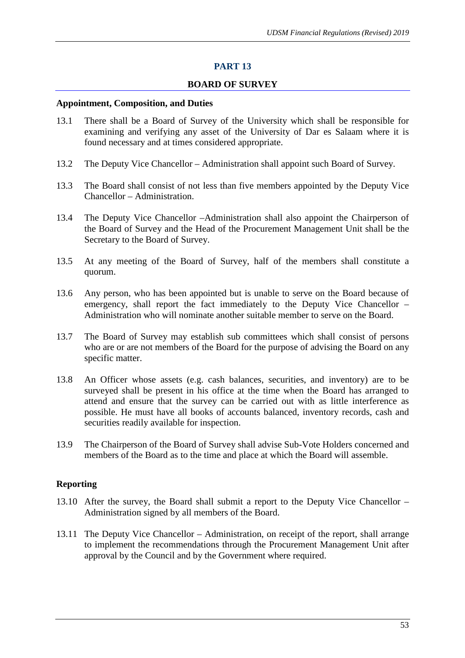#### **BOARD OF SURVEY**

#### **Appointment, Composition, and Duties**

- 13.1 There shall be a Board of Survey of the University which shall be responsible for examining and verifying any asset of the University of Dar es Salaam where it is found necessary and at times considered appropriate.
- 13.2 The Deputy Vice Chancellor Administration shall appoint such Board of Survey.
- 13.3 The Board shall consist of not less than five members appointed by the Deputy Vice Chancellor – Administration.
- 13.4 The Deputy Vice Chancellor –Administration shall also appoint the Chairperson of the Board of Survey and the Head of the Procurement Management Unit shall be the Secretary to the Board of Survey.
- 13.5 At any meeting of the Board of Survey, half of the members shall constitute a quorum.
- 13.6 Any person, who has been appointed but is unable to serve on the Board because of emergency, shall report the fact immediately to the Deputy Vice Chancellor – Administration who will nominate another suitable member to serve on the Board.
- 13.7 The Board of Survey may establish sub committees which shall consist of persons who are or are not members of the Board for the purpose of advising the Board on any specific matter.
- 13.8 An Officer whose assets (e.g. cash balances, securities, and inventory) are to be surveyed shall be present in his office at the time when the Board has arranged to attend and ensure that the survey can be carried out with as little interference as possible. He must have all books of accounts balanced, inventory records, cash and securities readily available for inspection.
- 13.9 The Chairperson of the Board of Survey shall advise Sub-Vote Holders concerned and members of the Board as to the time and place at which the Board will assemble.

#### **Reporting**

- 13.10 After the survey, the Board shall submit a report to the Deputy Vice Chancellor Administration signed by all members of the Board.
- 13.11 The Deputy Vice Chancellor Administration, on receipt of the report, shall arrange to implement the recommendations through the Procurement Management Unit after approval by the Council and by the Government where required.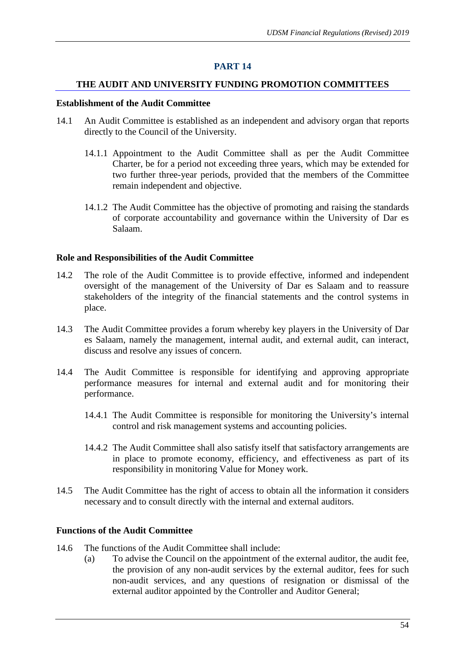## **THE AUDIT AND UNIVERSITY FUNDING PROMOTION COMMITTEES**

#### **Establishment of the Audit Committee**

- 14.1 An Audit Committee is established as an independent and advisory organ that reports directly to the Council of the University.
	- 14.1.1 Appointment to the Audit Committee shall as per the Audit Committee Charter, be for a period not exceeding three years, which may be extended for two further three-year periods, provided that the members of the Committee remain independent and objective.
	- 14.1.2 The Audit Committee has the objective of promoting and raising the standards of corporate accountability and governance within the University of Dar es Salaam.

#### **Role and Responsibilities of the Audit Committee**

- 14.2 The role of the Audit Committee is to provide effective, informed and independent oversight of the management of the University of Dar es Salaam and to reassure stakeholders of the integrity of the financial statements and the control systems in place.
- 14.3 The Audit Committee provides a forum whereby key players in the University of Dar es Salaam, namely the management, internal audit, and external audit, can interact, discuss and resolve any issues of concern.
- 14.4 The Audit Committee is responsible for identifying and approving appropriate performance measures for internal and external audit and for monitoring their performance.
	- 14.4.1 The Audit Committee is responsible for monitoring the University's internal control and risk management systems and accounting policies.
	- 14.4.2 The Audit Committee shall also satisfy itself that satisfactory arrangements are in place to promote economy, efficiency, and effectiveness as part of its responsibility in monitoring Value for Money work.
- 14.5 The Audit Committee has the right of access to obtain all the information it considers necessary and to consult directly with the internal and external auditors.

#### **Functions of the Audit Committee**

- 14.6 The functions of the Audit Committee shall include:
	- (a) To advise the Council on the appointment of the external auditor, the audit fee, the provision of any non-audit services by the external auditor, fees for such non-audit services, and any questions of resignation or dismissal of the external auditor appointed by the Controller and Auditor General;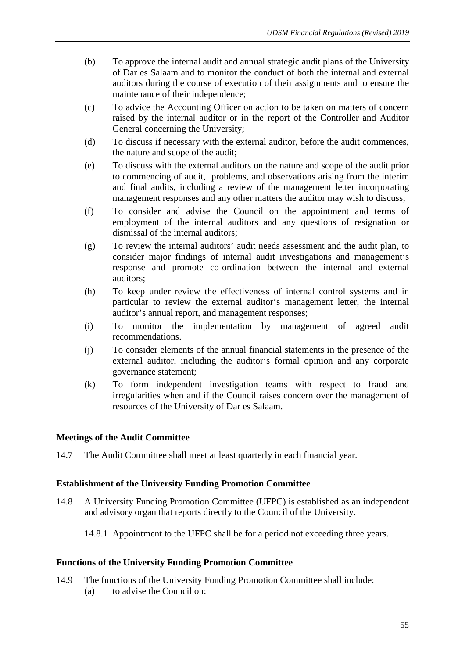- (b) To approve the internal audit and annual strategic audit plans of the University of Dar es Salaam and to monitor the conduct of both the internal and external auditors during the course of execution of their assignments and to ensure the maintenance of their independence;
- (c) To advice the Accounting Officer on action to be taken on matters of concern raised by the internal auditor or in the report of the Controller and Auditor General concerning the University;
- (d) To discuss if necessary with the external auditor, before the audit commences, the nature and scope of the audit;
- (e) To discuss with the external auditors on the nature and scope of the audit prior to commencing of audit, problems, and observations arising from the interim and final audits, including a review of the management letter incorporating management responses and any other matters the auditor may wish to discuss;
- (f) To consider and advise the Council on the appointment and terms of employment of the internal auditors and any questions of resignation or dismissal of the internal auditors;
- (g) To review the internal auditors' audit needs assessment and the audit plan, to consider major findings of internal audit investigations and management's response and promote co-ordination between the internal and external auditors;
- (h) To keep under review the effectiveness of internal control systems and in particular to review the external auditor's management letter, the internal auditor's annual report, and management responses;
- (i) To monitor the implementation by management of agreed audit recommendations.
- (j) To consider elements of the annual financial statements in the presence of the external auditor, including the auditor's formal opinion and any corporate governance statement;
- (k) To form independent investigation teams with respect to fraud and irregularities when and if the Council raises concern over the management of resources of the University of Dar es Salaam.

## **Meetings of the Audit Committee**

14.7 The Audit Committee shall meet at least quarterly in each financial year.

## **Establishment of the University Funding Promotion Committee**

14.8 A University Funding Promotion Committee (UFPC) is established as an independent and advisory organ that reports directly to the Council of the University.

14.8.1 Appointment to the UFPC shall be for a period not exceeding three years.

## **Functions of the University Funding Promotion Committee**

- 14.9 The functions of the University Funding Promotion Committee shall include:
	- (a) to advise the Council on: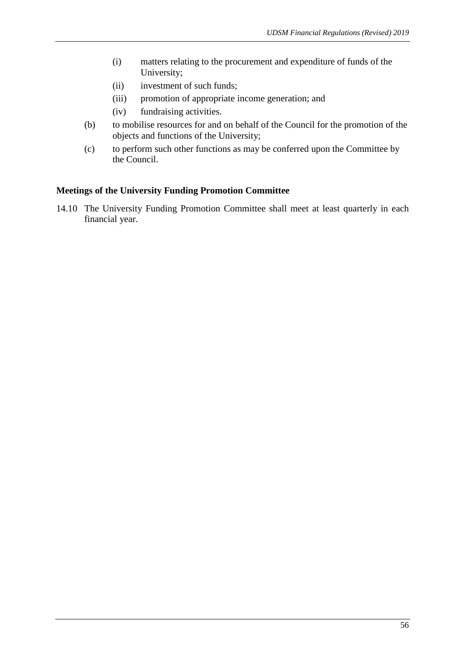- (i) matters relating to the procurement and expenditure of funds of the University;
- (ii) investment of such funds;
- (iii) promotion of appropriate income generation; and
- (iv) fundraising activities.
- (b) to mobilise resources for and on behalf of the Council for the promotion of the objects and functions of the University;
- (c) to perform such other functions as may be conferred upon the Committee by the Council.

#### **Meetings of the University Funding Promotion Committee**

14.10 The University Funding Promotion Committee shall meet at least quarterly in each financial year.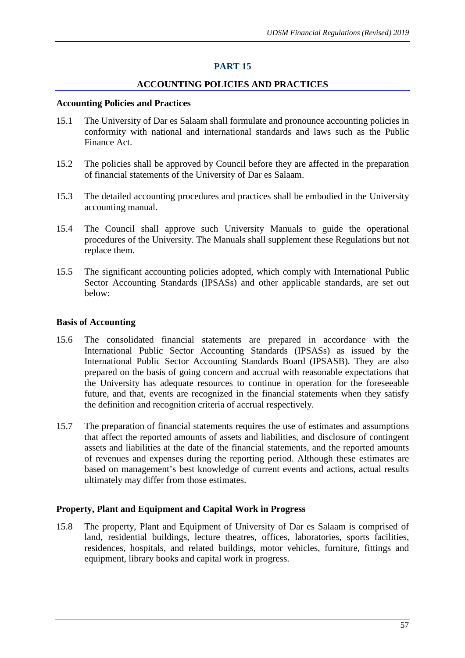# **ACCOUNTING POLICIES AND PRACTICES**

#### **Accounting Policies and Practices**

- 15.1 The University of Dar es Salaam shall formulate and pronounce accounting policies in conformity with national and international standards and laws such as the Public Finance Act.
- 15.2 The policies shall be approved by Council before they are affected in the preparation of financial statements of the University of Dar es Salaam.
- 15.3 The detailed accounting procedures and practices shall be embodied in the University accounting manual.
- 15.4 The Council shall approve such University Manuals to guide the operational procedures of the University. The Manuals shall supplement these Regulations but not replace them.
- 15.5 The significant accounting policies adopted, which comply with International Public Sector Accounting Standards (IPSASs) and other applicable standards, are set out below:

## **Basis of Accounting**

- 15.6 The consolidated financial statements are prepared in accordance with the International Public Sector Accounting Standards (IPSASs) as issued by the International Public Sector Accounting Standards Board (IPSASB). They are also prepared on the basis of going concern and accrual with reasonable expectations that the University has adequate resources to continue in operation for the foreseeable future, and that, events are recognized in the financial statements when they satisfy the definition and recognition criteria of accrual respectively.
- 15.7 The preparation of financial statements requires the use of estimates and assumptions that affect the reported amounts of assets and liabilities, and disclosure of contingent assets and liabilities at the date of the financial statements, and the reported amounts of revenues and expenses during the reporting period. Although these estimates are based on management's best knowledge of current events and actions, actual results ultimately may differ from those estimates.

## **Property, Plant and Equipment and Capital Work in Progress**

15.8 The property, Plant and Equipment of University of Dar es Salaam is comprised of land, residential buildings, lecture theatres, offices, laboratories, sports facilities, residences, hospitals, and related buildings, motor vehicles, furniture, fittings and equipment, library books and capital work in progress.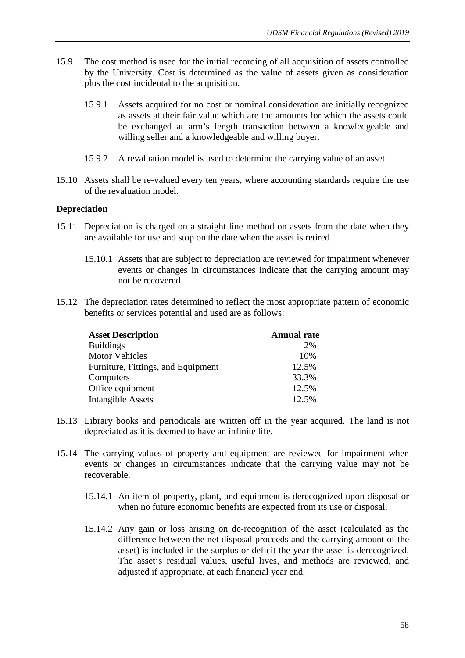- 15.9 The cost method is used for the initial recording of all acquisition of assets controlled by the University. Cost is determined as the value of assets given as consideration plus the cost incidental to the acquisition.
	- 15.9.1 Assets acquired for no cost or nominal consideration are initially recognized as assets at their fair value which are the amounts for which the assets could be exchanged at arm's length transaction between a knowledgeable and willing seller and a knowledgeable and willing buyer.
	- 15.9.2 A revaluation model is used to determine the carrying value of an asset.
- 15.10 Assets shall be re-valued every ten years, where accounting standards require the use of the revaluation model.

#### **Depreciation**

- 15.11 Depreciation is charged on a straight line method on assets from the date when they are available for use and stop on the date when the asset is retired.
	- 15.10.1 Assets that are subject to depreciation are reviewed for impairment whenever events or changes in circumstances indicate that the carrying amount may not be recovered.
- 15.12 The depreciation rates determined to reflect the most appropriate pattern of economic benefits or services potential and used are as follows:

| <b>Asset Description</b>           | <b>Annual rate</b> |
|------------------------------------|--------------------|
| <b>Buildings</b>                   | 2%                 |
| <b>Motor Vehicles</b>              | 10%                |
| Furniture, Fittings, and Equipment | 12.5%              |
| Computers                          | 33.3%              |
| Office equipment                   | 12.5%              |
| <b>Intangible Assets</b>           | 12.5%              |

- 15.13 Library books and periodicals are written off in the year acquired. The land is not depreciated as it is deemed to have an infinite life.
- 15.14 The carrying values of property and equipment are reviewed for impairment when events or changes in circumstances indicate that the carrying value may not be recoverable.
	- 15.14.1 An item of property, plant, and equipment is derecognized upon disposal or when no future economic benefits are expected from its use or disposal.
	- 15.14.2 Any gain or loss arising on de-recognition of the asset (calculated as the difference between the net disposal proceeds and the carrying amount of the asset) is included in the surplus or deficit the year the asset is derecognized. The asset's residual values, useful lives, and methods are reviewed, and adjusted if appropriate, at each financial year end.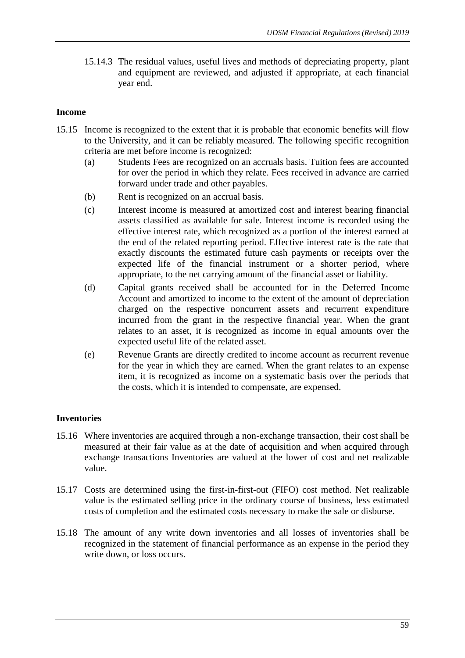15.14.3 The residual values, useful lives and methods of depreciating property, plant and equipment are reviewed, and adjusted if appropriate, at each financial year end.

## **Income**

- 15.15 Income is recognized to the extent that it is probable that economic benefits will flow to the University, and it can be reliably measured. The following specific recognition criteria are met before income is recognized:
	- (a) Students Fees are recognized on an accruals basis. Tuition fees are accounted for over the period in which they relate. Fees received in advance are carried forward under trade and other payables.
	- (b) Rent is recognized on an accrual basis.
	- (c) Interest income is measured at amortized cost and interest bearing financial assets classified as available for sale. Interest income is recorded using the effective interest rate, which recognized as a portion of the interest earned at the end of the related reporting period. Effective interest rate is the rate that exactly discounts the estimated future cash payments or receipts over the expected life of the financial instrument or a shorter period, where appropriate, to the net carrying amount of the financial asset or liability.
	- (d) Capital grants received shall be accounted for in the Deferred Income Account and amortized to income to the extent of the amount of depreciation charged on the respective noncurrent assets and recurrent expenditure incurred from the grant in the respective financial year. When the grant relates to an asset, it is recognized as income in equal amounts over the expected useful life of the related asset.
	- (e) Revenue Grants are directly credited to income account as recurrent revenue for the year in which they are earned. When the grant relates to an expense item, it is recognized as income on a systematic basis over the periods that the costs, which it is intended to compensate, are expensed.

# **Inventories**

- 15.16 Where inventories are acquired through a non-exchange transaction, their cost shall be measured at their fair value as at the date of acquisition and when acquired through exchange transactions Inventories are valued at the lower of cost and net realizable value.
- 15.17 Costs are determined using the first-in-first-out (FIFO) cost method. Net realizable value is the estimated selling price in the ordinary course of business, less estimated costs of completion and the estimated costs necessary to make the sale or disburse.
- 15.18 The amount of any write down inventories and all losses of inventories shall be recognized in the statement of financial performance as an expense in the period they write down, or loss occurs.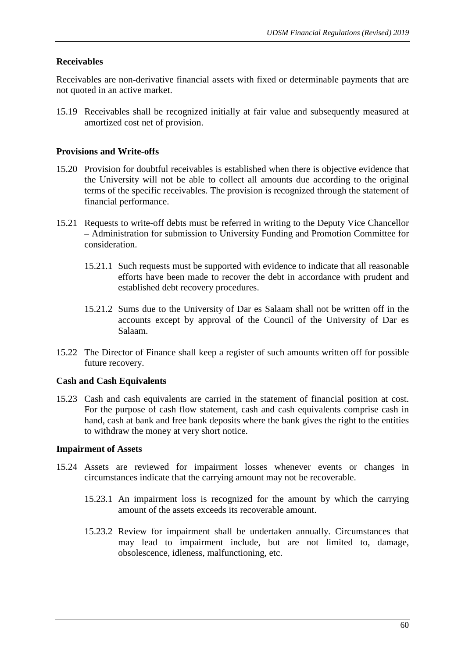# **Receivables**

Receivables are non-derivative financial assets with fixed or determinable payments that are not quoted in an active market.

15.19 Receivables shall be recognized initially at fair value and subsequently measured at amortized cost net of provision.

## **Provisions and Write-offs**

- 15.20 Provision for doubtful receivables is established when there is objective evidence that the University will not be able to collect all amounts due according to the original terms of the specific receivables. The provision is recognized through the statement of financial performance.
- 15.21 Requests to write-off debts must be referred in writing to the Deputy Vice Chancellor – Administration for submission to University Funding and Promotion Committee for consideration.
	- 15.21.1 Such requests must be supported with evidence to indicate that all reasonable efforts have been made to recover the debt in accordance with prudent and established debt recovery procedures.
	- 15.21.2 Sums due to the University of Dar es Salaam shall not be written off in the accounts except by approval of the Council of the University of Dar es Salaam.
- 15.22 The Director of Finance shall keep a register of such amounts written off for possible future recovery.

# **Cash and Cash Equivalents**

15.23 Cash and cash equivalents are carried in the statement of financial position at cost. For the purpose of cash flow statement, cash and cash equivalents comprise cash in hand, cash at bank and free bank deposits where the bank gives the right to the entities to withdraw the money at very short notice.

## **Impairment of Assets**

- 15.24 Assets are reviewed for impairment losses whenever events or changes in circumstances indicate that the carrying amount may not be recoverable.
	- 15.23.1 An impairment loss is recognized for the amount by which the carrying amount of the assets exceeds its recoverable amount.
	- 15.23.2 Review for impairment shall be undertaken annually. Circumstances that may lead to impairment include, but are not limited to, damage, obsolescence, idleness, malfunctioning, etc.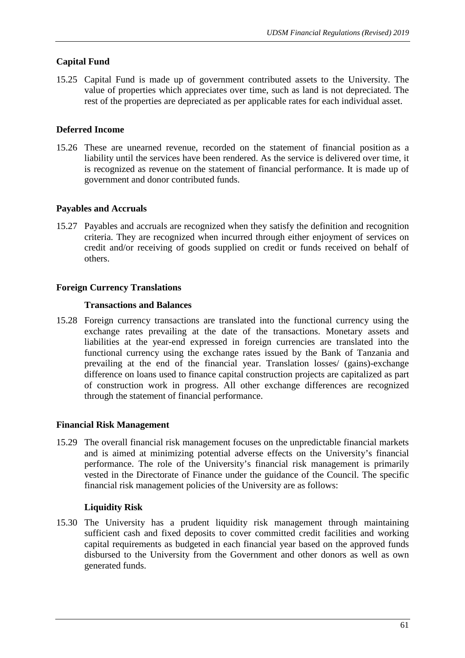# **Capital Fund**

15.25 Capital Fund is made up of government contributed assets to the University. The value of properties which appreciates over time, such as land is not depreciated. The rest of the properties are depreciated as per applicable rates for each individual asset.

# **Deferred Income**

15.26 These are unearned revenue, recorded on the statement of financial position as a liability until the services have been rendered. As the service is delivered over time, it is recognized as revenue on the statement of financial performance. It is made up of government and donor contributed funds.

# **Payables and Accruals**

15.27 Payables and accruals are recognized when they satisfy the definition and recognition criteria. They are recognized when incurred through either enjoyment of services on credit and/or receiving of goods supplied on credit or funds received on behalf of others.

# **Foreign Currency Translations**

# **Transactions and Balances**

15.28 Foreign currency transactions are translated into the functional currency using the exchange rates prevailing at the date of the transactions. Monetary assets and liabilities at the year-end expressed in foreign currencies are translated into the functional currency using the exchange rates issued by the Bank of Tanzania and prevailing at the end of the financial year. Translation losses/ (gains)-exchange difference on loans used to finance capital construction projects are capitalized as part of construction work in progress. All other exchange differences are recognized through the statement of financial performance.

# **Financial Risk Management**

15.29 The overall financial risk management focuses on the unpredictable financial markets and is aimed at minimizing potential adverse effects on the University's financial performance. The role of the University's financial risk management is primarily vested in the Directorate of Finance under the guidance of the Council. The specific financial risk management policies of the University are as follows:

# **Liquidity Risk**

15.30 The University has a prudent liquidity risk management through maintaining sufficient cash and fixed deposits to cover committed credit facilities and working capital requirements as budgeted in each financial year based on the approved funds disbursed to the University from the Government and other donors as well as own generated funds.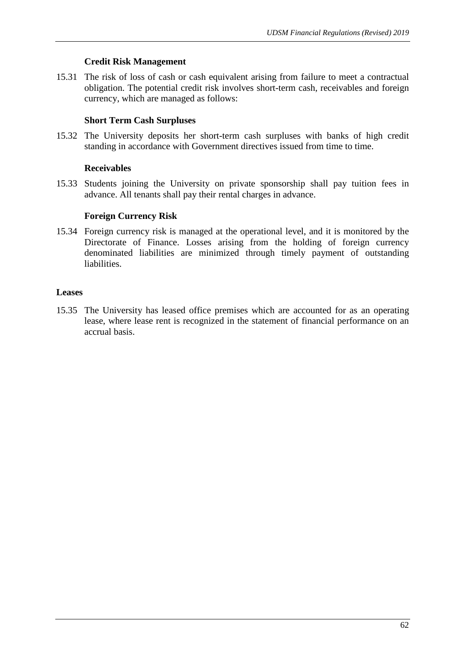## **Credit Risk Management**

15.31 The risk of loss of cash or cash equivalent arising from failure to meet a contractual obligation. The potential credit risk involves short-term cash, receivables and foreign currency, which are managed as follows:

# **Short Term Cash Surpluses**

15.32 The University deposits her short-term cash surpluses with banks of high credit standing in accordance with Government directives issued from time to time.

# **Receivables**

15.33 Students joining the University on private sponsorship shall pay tuition fees in advance. All tenants shall pay their rental charges in advance.

# **Foreign Currency Risk**

15.34 Foreign currency risk is managed at the operational level, and it is monitored by the Directorate of Finance. Losses arising from the holding of foreign currency denominated liabilities are minimized through timely payment of outstanding liabilities.

# **Leases**

15.35 The University has leased office premises which are accounted for as an operating lease, where lease rent is recognized in the statement of financial performance on an accrual basis.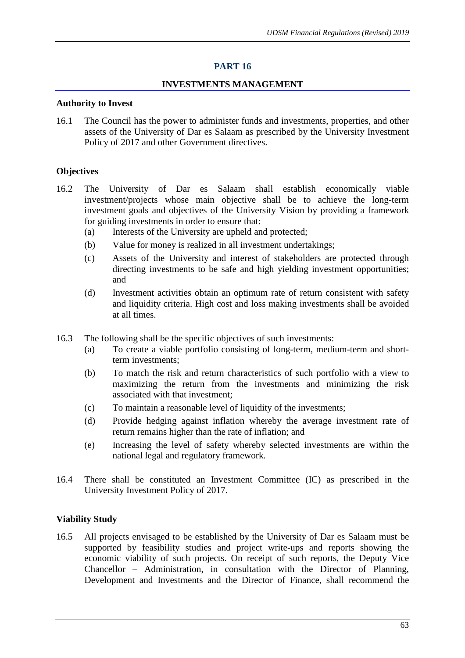#### **INVESTMENTS MANAGEMENT**

#### **Authority to Invest**

16.1 The Council has the power to administer funds and investments, properties, and other assets of the University of Dar es Salaam as prescribed by the University Investment Policy of 2017 and other Government directives.

## **Objectives**

- 16.2 The University of Dar es Salaam shall establish economically viable investment/projects whose main objective shall be to achieve the long-term investment goals and objectives of the University Vision by providing a framework for guiding investments in order to ensure that:
	- (a) Interests of the University are upheld and protected;
	- (b) Value for money is realized in all investment undertakings;
	- (c) Assets of the University and interest of stakeholders are protected through directing investments to be safe and high yielding investment opportunities; and
	- (d) Investment activities obtain an optimum rate of return consistent with safety and liquidity criteria. High cost and loss making investments shall be avoided at all times.
- 16.3 The following shall be the specific objectives of such investments:
	- (a) To create a viable portfolio consisting of long-term, medium-term and shortterm investments;
	- (b) To match the risk and return characteristics of such portfolio with a view to maximizing the return from the investments and minimizing the risk associated with that investment;
	- (c) To maintain a reasonable level of liquidity of the investments;
	- (d) Provide hedging against inflation whereby the average investment rate of return remains higher than the rate of inflation; and
	- (e) Increasing the level of safety whereby selected investments are within the national legal and regulatory framework.
- 16.4 There shall be constituted an Investment Committee (IC) as prescribed in the University Investment Policy of 2017.

## **Viability Study**

16.5 All projects envisaged to be established by the University of Dar es Salaam must be supported by feasibility studies and project write-ups and reports showing the economic viability of such projects. On receipt of such reports, the Deputy Vice Chancellor – Administration, in consultation with the Director of Planning, Development and Investments and the Director of Finance, shall recommend the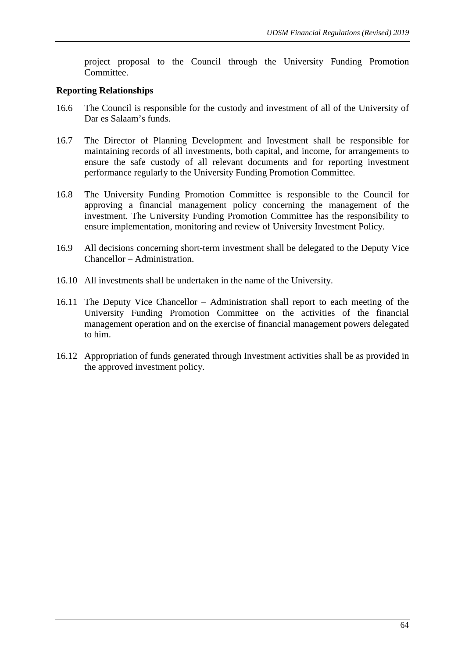project proposal to the Council through the University Funding Promotion Committee.

## **Reporting Relationships**

- 16.6 The Council is responsible for the custody and investment of all of the University of Dar es Salaam's funds.
- 16.7 The Director of Planning Development and Investment shall be responsible for maintaining records of all investments, both capital, and income, for arrangements to ensure the safe custody of all relevant documents and for reporting investment performance regularly to the University Funding Promotion Committee.
- 16.8 The University Funding Promotion Committee is responsible to the Council for approving a financial management policy concerning the management of the investment. The University Funding Promotion Committee has the responsibility to ensure implementation, monitoring and review of University Investment Policy.
- 16.9 All decisions concerning short-term investment shall be delegated to the Deputy Vice Chancellor – Administration.
- 16.10 All investments shall be undertaken in the name of the University.
- 16.11 The Deputy Vice Chancellor Administration shall report to each meeting of the University Funding Promotion Committee on the activities of the financial management operation and on the exercise of financial management powers delegated to him.
- 16.12 Appropriation of funds generated through Investment activities shall be as provided in the approved investment policy.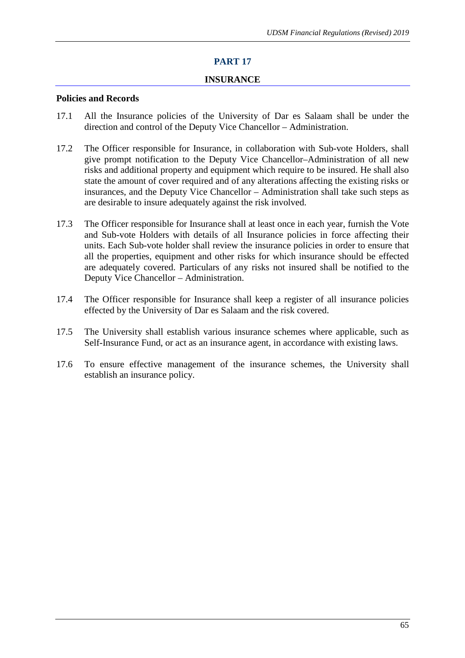# **PART 17**

### **INSURANCE**

#### **Policies and Records**

- 17.1 All the Insurance policies of the University of Dar es Salaam shall be under the direction and control of the Deputy Vice Chancellor – Administration.
- 17.2 The Officer responsible for Insurance, in collaboration with Sub-vote Holders, shall give prompt notification to the Deputy Vice Chancellor–Administration of all new risks and additional property and equipment which require to be insured. He shall also state the amount of cover required and of any alterations affecting the existing risks or insurances, and the Deputy Vice Chancellor – Administration shall take such steps as are desirable to insure adequately against the risk involved.
- 17.3 The Officer responsible for Insurance shall at least once in each year, furnish the Vote and Sub-vote Holders with details of all Insurance policies in force affecting their units. Each Sub-vote holder shall review the insurance policies in order to ensure that all the properties, equipment and other risks for which insurance should be effected are adequately covered. Particulars of any risks not insured shall be notified to the Deputy Vice Chancellor – Administration.
- 17.4 The Officer responsible for Insurance shall keep a register of all insurance policies effected by the University of Dar es Salaam and the risk covered.
- 17.5 The University shall establish various insurance schemes where applicable, such as Self-Insurance Fund, or act as an insurance agent, in accordance with existing laws.
- 17.6 To ensure effective management of the insurance schemes, the University shall establish an insurance policy.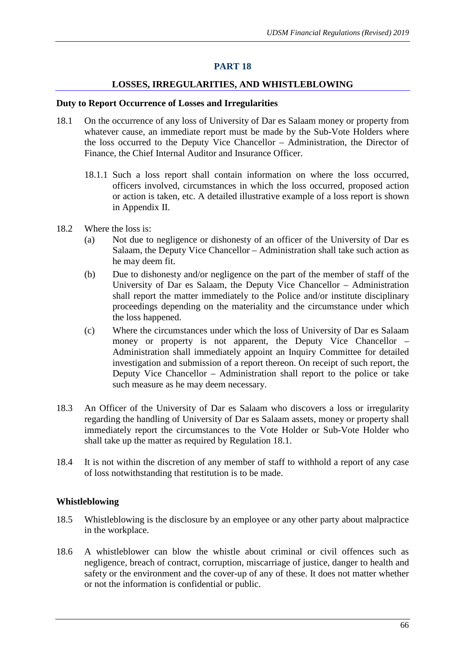## **PART 18**

## **LOSSES, IRREGULARITIES, AND WHISTLEBLOWING**

#### **Duty to Report Occurrence of Losses and Irregularities**

- 18.1 On the occurrence of any loss of University of Dar es Salaam money or property from whatever cause, an immediate report must be made by the Sub-Vote Holders where the loss occurred to the Deputy Vice Chancellor – Administration, the Director of Finance, the Chief Internal Auditor and Insurance Officer.
	- 18.1.1 Such a loss report shall contain information on where the loss occurred, officers involved, circumstances in which the loss occurred, proposed action or action is taken, etc. A detailed illustrative example of a loss report is shown in Appendix II.
- 18.2 Where the loss is:
	- (a) Not due to negligence or dishonesty of an officer of the University of Dar es Salaam, the Deputy Vice Chancellor – Administration shall take such action as he may deem fit.
	- (b) Due to dishonesty and/or negligence on the part of the member of staff of the University of Dar es Salaam, the Deputy Vice Chancellor – Administration shall report the matter immediately to the Police and/or institute disciplinary proceedings depending on the materiality and the circumstance under which the loss happened.
	- (c) Where the circumstances under which the loss of University of Dar es Salaam money or property is not apparent, the Deputy Vice Chancellor – Administration shall immediately appoint an Inquiry Committee for detailed investigation and submission of a report thereon. On receipt of such report, the Deputy Vice Chancellor – Administration shall report to the police or take such measure as he may deem necessary.
- 18.3 An Officer of the University of Dar es Salaam who discovers a loss or irregularity regarding the handling of University of Dar es Salaam assets, money or property shall immediately report the circumstances to the Vote Holder or Sub-Vote Holder who shall take up the matter as required by Regulation 18.1.
- 18.4 It is not within the discretion of any member of staff to withhold a report of any case of loss notwithstanding that restitution is to be made.

#### **Whistleblowing**

- 18.5 Whistleblowing is the disclosure by an employee or any other party about malpractice in the workplace.
- 18.6 A whistleblower can blow the whistle about criminal or civil offences such as negligence, breach of contract, corruption, miscarriage of justice, danger to health and safety or the environment and the cover-up of any of these. It does not matter whether or not the information is confidential or public.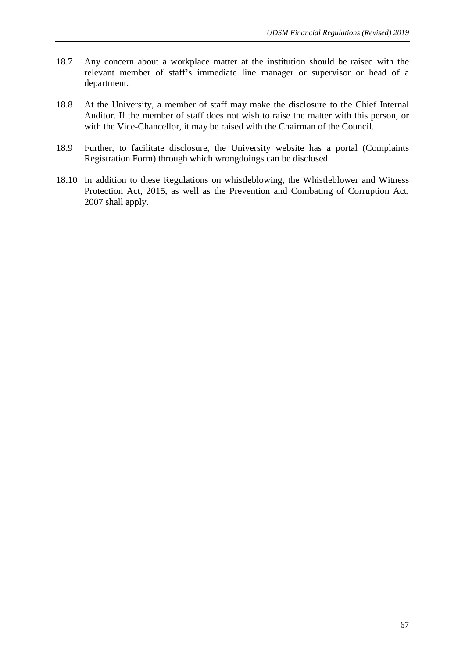- 18.7 Any concern about a workplace matter at the institution should be raised with the relevant member of staff's immediate line manager or supervisor or head of a department.
- 18.8 At the University, a member of staff may make the disclosure to the Chief Internal Auditor. If the member of staff does not wish to raise the matter with this person, or with the Vice-Chancellor, it may be raised with the Chairman of the Council.
- 18.9 Further, to facilitate disclosure, the University website has a portal (Complaints Registration Form) through which wrongdoings can be disclosed.
- 18.10 In addition to these Regulations on whistleblowing, the Whistleblower and Witness Protection Act, 2015, as well as the Prevention and Combating of Corruption Act, 2007 shall apply.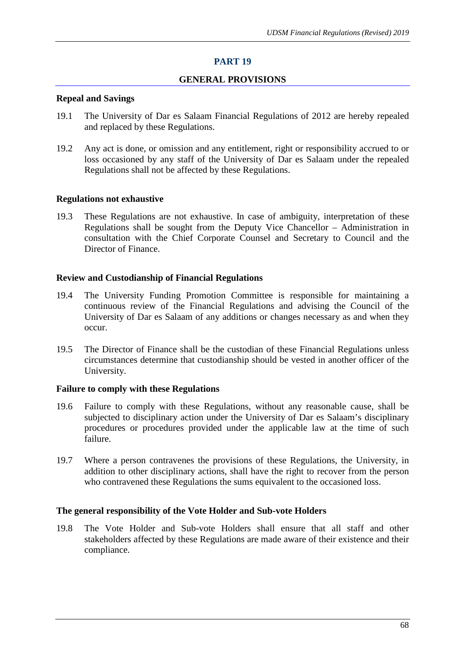## **PART 19**

### **GENERAL PROVISIONS**

#### **Repeal and Savings**

- 19.1 The University of Dar es Salaam Financial Regulations of 2012 are hereby repealed and replaced by these Regulations.
- 19.2 Any act is done, or omission and any entitlement, right or responsibility accrued to or loss occasioned by any staff of the University of Dar es Salaam under the repealed Regulations shall not be affected by these Regulations.

#### **Regulations not exhaustive**

19.3 These Regulations are not exhaustive. In case of ambiguity, interpretation of these Regulations shall be sought from the Deputy Vice Chancellor – Administration in consultation with the Chief Corporate Counsel and Secretary to Council and the Director of Finance.

#### **Review and Custodianship of Financial Regulations**

- 19.4 The University Funding Promotion Committee is responsible for maintaining a continuous review of the Financial Regulations and advising the Council of the University of Dar es Salaam of any additions or changes necessary as and when they occur.
- 19.5 The Director of Finance shall be the custodian of these Financial Regulations unless circumstances determine that custodianship should be vested in another officer of the University.

### **Failure to comply with these Regulations**

- 19.6 Failure to comply with these Regulations, without any reasonable cause, shall be subjected to disciplinary action under the University of Dar es Salaam's disciplinary procedures or procedures provided under the applicable law at the time of such failure.
- 19.7 Where a person contravenes the provisions of these Regulations, the University, in addition to other disciplinary actions, shall have the right to recover from the person who contravened these Regulations the sums equivalent to the occasioned loss.

#### **The general responsibility of the Vote Holder and Sub-vote Holders**

19.8 The Vote Holder and Sub-vote Holders shall ensure that all staff and other stakeholders affected by these Regulations are made aware of their existence and their compliance.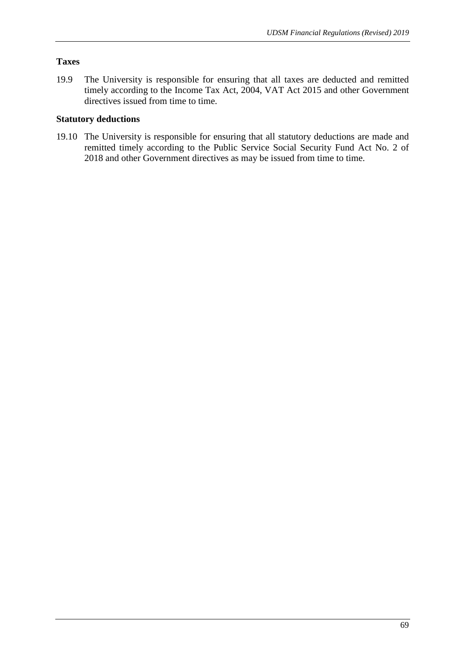# **Taxes**

19.9 The University is responsible for ensuring that all taxes are deducted and remitted timely according to the Income Tax Act, 2004, VAT Act 2015 and other Government directives issued from time to time.

# **Statutory deductions**

19.10 The University is responsible for ensuring that all statutory deductions are made and remitted timely according to the Public Service Social Security Fund Act No. 2 of 2018 and other Government directives as may be issued from time to time.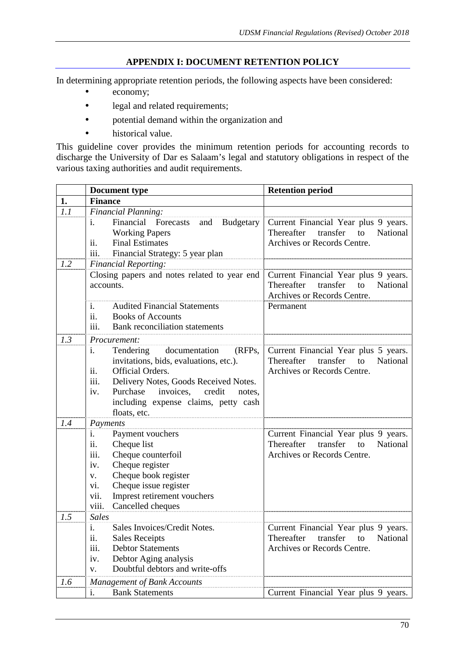# **APPENDIX I: DOCUMENT RETENTION POLICY**

In determining appropriate retention periods, the following aspects have been considered:

- economy;
- legal and related requirements;
- potential demand within the organization and
- historical value.

This guideline cover provides the minimum retention periods for accounting records to discharge the University of Dar es Salaam's legal and statutory obligations in respect of the various taxing authorities and audit requirements.

|     | Document type                                                                                                                                                                                                                                                             | <b>Retention period</b>                                                                                         |
|-----|---------------------------------------------------------------------------------------------------------------------------------------------------------------------------------------------------------------------------------------------------------------------------|-----------------------------------------------------------------------------------------------------------------|
| 1.  | <b>Finance</b>                                                                                                                                                                                                                                                            |                                                                                                                 |
| 1.1 | Financial Planning:                                                                                                                                                                                                                                                       |                                                                                                                 |
|     | Financial<br>Forecasts<br><b>Budgetary</b><br>and<br>$\mathbf{1}$ .<br><b>Working Papers</b><br>ii.<br><b>Final Estimates</b><br>iii.<br>Financial Strategy: 5 year plan                                                                                                  | Current Financial Year plus 9 years.<br>Thereafter<br>transfer<br>National<br>to<br>Archives or Records Centre. |
| 1.2 | <b>Financial Reporting:</b>                                                                                                                                                                                                                                               |                                                                                                                 |
|     | Closing papers and notes related to year end<br>accounts.                                                                                                                                                                                                                 | Current Financial Year plus 9 years.<br>National<br>Thereafter<br>transfer<br>to<br>Archives or Records Centre. |
|     | <b>Audited Financial Statements</b><br>1.<br>ii.<br><b>Books of Accounts</b><br>iii.<br><b>Bank</b> reconciliation statements                                                                                                                                             | Permanent                                                                                                       |
| 1.3 | <i>Procurement:</i>                                                                                                                                                                                                                                                       |                                                                                                                 |
|     | Tendering documentation<br>(RFPs,<br>1.<br>invitations, bids, evaluations, etc.).<br>ii.<br>Official Orders.<br>iii.<br>Delivery Notes, Goods Received Notes.<br>Purchase<br>invoices,<br>iv.<br>credit<br>notes,<br>including expense claims, petty cash<br>floats, etc. | Current Financial Year plus 5 years.<br>Thereafter<br>transfer<br>to<br>National<br>Archives or Records Centre. |
| 1.4 | Payments                                                                                                                                                                                                                                                                  |                                                                                                                 |
|     | Payment vouchers<br>1.<br>ii.<br>Cheque list<br>iii.<br>Cheque counterfoil<br>iv.<br>Cheque register<br>Cheque book register<br>V.<br>Cheque issue register<br>vi.<br>Imprest retirement vouchers<br>vii.<br>viii.<br>Cancelled cheques                                   | Current Financial Year plus 9 years.<br>to<br>Thereafter<br>transfer<br>National<br>Archives or Records Centre. |
| 1.5 | <b>Sales</b>                                                                                                                                                                                                                                                              |                                                                                                                 |
|     | Sales Invoices/Credit Notes.<br>i.<br><b>Sales Receipts</b><br>11.<br>iii.<br><b>Debtor Statements</b><br>iv.<br>Debtor Aging analysis<br>Doubtful debtors and write-offs<br>V.                                                                                           | Current Financial Year plus 9 years.<br>Thereafter<br>transfer<br>to<br>National<br>Archives or Records Centre. |
| 1.6 | <b>Management of Bank Accounts</b>                                                                                                                                                                                                                                        |                                                                                                                 |
|     | <b>Bank Statements</b><br>i.                                                                                                                                                                                                                                              | Current Financial Year plus 9 years.                                                                            |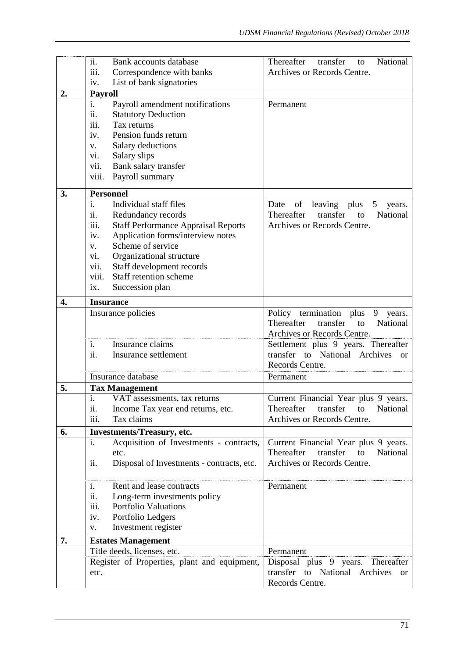|    | ii.<br>Bank accounts database                        | National<br>Thereafter<br>transfer<br>to                                            |
|----|------------------------------------------------------|-------------------------------------------------------------------------------------|
|    | iii.<br>Correspondence with banks                    | Archives or Records Centre.                                                         |
|    | List of bank signatories<br>iv.                      |                                                                                     |
| 2. | <b>Payroll</b>                                       |                                                                                     |
|    | Payroll amendment notifications<br>i.                | Permanent                                                                           |
|    | ii.<br><b>Statutory Deduction</b>                    |                                                                                     |
|    | iii.<br>Tax returns                                  |                                                                                     |
|    | Pension funds return<br>iv.                          |                                                                                     |
|    | Salary deductions<br>V.                              |                                                                                     |
|    | Salary slips<br>vi.                                  |                                                                                     |
|    | vii.<br>Bank salary transfer                         |                                                                                     |
|    | Payroll summary<br>viii.                             |                                                                                     |
| 3. | <b>Personnel</b>                                     |                                                                                     |
|    | $\overline{i}$ .<br>Individual staff files           | of leaving plus<br>5 <sup>5</sup><br>Date<br>years.                                 |
|    | ii.<br>Redundancy records                            | Thereafter<br>transfer<br>National<br>to                                            |
|    | <b>Staff Performance Appraisal Reports</b>           | Archives or Records Centre.                                                         |
|    | 111.<br>Application forms/interview notes            |                                                                                     |
|    | iv.<br>Scheme of service                             |                                                                                     |
|    | V.                                                   |                                                                                     |
|    | Organizational structure<br>VI.                      |                                                                                     |
|    | vii.<br>Staff development records                    |                                                                                     |
|    | Staff retention scheme<br>viii.                      |                                                                                     |
|    | Succession plan<br>ix.                               |                                                                                     |
| 4. | <b>Insurance</b>                                     |                                                                                     |
|    | Insurance policies                                   | Policy termination plus 9 years.                                                    |
|    |                                                      | Thereafter<br>transfer<br>National<br>to                                            |
|    |                                                      | Archives or Records Centre.                                                         |
|    | Insurance claims<br>i.                               | Settlement plus 9 years. Thereafter                                                 |
|    | Insurance settlement<br>11.                          | transfer to National Archives<br>or                                                 |
|    |                                                      | Records Centre.                                                                     |
|    | Insurance database                                   | Permanent                                                                           |
| 5. | <b>Tax Management</b>                                |                                                                                     |
|    | i.<br>VAT assessments, tax returns                   | Current Financial Year plus 9 years.                                                |
|    | Income Tax year end returns, etc.<br>11.             | Thereafter<br>transfer<br>National<br>to                                            |
|    |                                                      |                                                                                     |
|    | iii.<br>Tax claims                                   | Archives or Records Centre.                                                         |
|    |                                                      |                                                                                     |
| 6. | Investments/Treasury, etc.<br>i.                     |                                                                                     |
|    | Acquisition of Investments - contracts,<br>etc.      | Current Financial Year plus 9 years.<br>Thereafter<br>transfer<br>to<br>National    |
|    | ii.                                                  | Archives or Records Centre.                                                         |
|    | Disposal of Investments - contracts, etc.            |                                                                                     |
|    | Rent and lease contracts<br>1.                       | Permanent                                                                           |
|    |                                                      |                                                                                     |
|    | ii.<br>Long-term investments policy                  |                                                                                     |
|    | <b>Portfolio Valuations</b><br>iii.                  |                                                                                     |
|    | Portfolio Ledgers<br>iv.<br>V.                       |                                                                                     |
|    | Investment register                                  |                                                                                     |
| 7. | <b>Estates Management</b>                            | Permanent                                                                           |
|    | Title deeds, licenses, etc.                          |                                                                                     |
|    | Register of Properties, plant and equipment,<br>etc. | Disposal plus 9 years. Thereafter<br>transfer to National Archives<br><sub>or</sub> |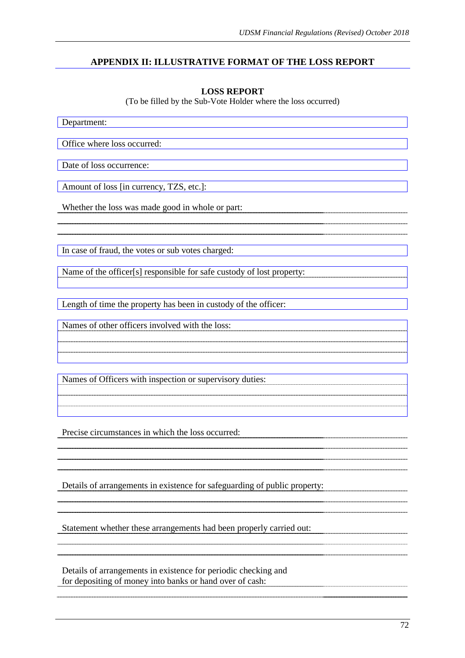# **APPENDIX II: ILLUSTRATIVE FORMAT OF THE LOSS REPORT**

### **LOSS REPORT**

(To be filled by the Sub-Vote Holder where the loss occurred)

Department: Office where loss occurred: Date of loss occurrence: Amount of loss [in currency, TZS, etc.]: Whether the loss was made good in whole or part: In case of fraud, the votes or sub votes charged: Name of the officer[s] responsible for safe custody of lost property: Length of time the property has been in custody of the officer: Names of other officers involved with the loss: Names of Officers with inspection or supervisory duties: Precise circumstances in which the loss occurred: Details of arrangements in existence for safeguarding of public property: Statement whether these arrangements had been properly carried out: Details of arrangements in existence for periodic checking and for depositing of money into banks or hand over of cash: